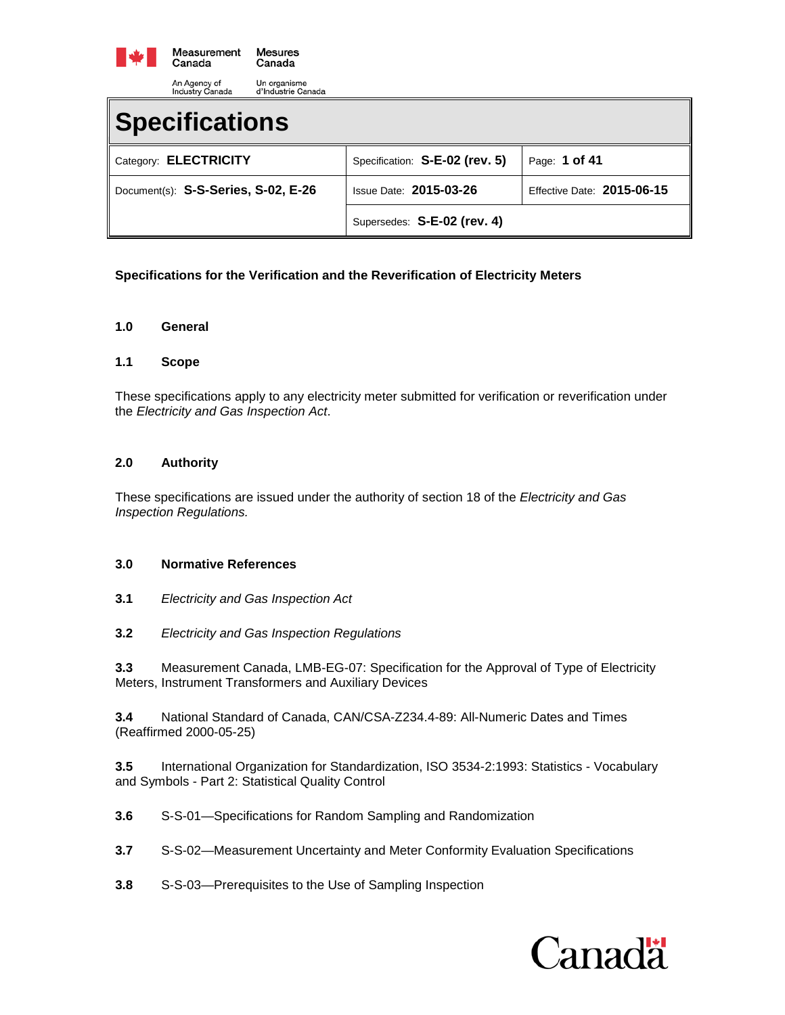

| Specifications                      |                                |                            |
|-------------------------------------|--------------------------------|----------------------------|
| Category: ELECTRICITY               | Specification: S-E-02 (rev. 5) | Page: 1 of 41              |
| Document(s): S-S-Series, S-02, E-26 | <b>Issue Date: 2015-03-26</b>  | Effective Date: 2015-06-15 |
|                                     | Supersedes: S-E-02 (rev. 4)    |                            |

# **Specifications for the Verification and the Reverification of Electricity Meters**

#### **1.0 General**

#### **1.1 Scope**

These specifications apply to any electricity meter submitted for verification or reverification under the *Electricity and Gas Inspection Act*.

## **2.0 Authority**

These specifications are issued under the authority of section 18 of the *Electricity and Gas Inspection Regulations.*

## **3.0 Normative References**

- **3.1** *Electricity and Gas Inspection Act*
- **3.2** *Electricity and Gas Inspection Regulations*

**3.3** Measurement Canada, LMB-EG-07: Specification for the Approval of Type of Electricity Meters, Instrument Transformers and Auxiliary Devices

**3.4** National Standard of Canada, CAN/CSA-Z234.4-89: All-Numeric Dates and Times (Reaffirmed 2000-05-25)

**3.5** International Organization for Standardization, ISO 3534-2:1993: Statistics - Vocabulary and Symbols - Part 2: Statistical Quality Control

- **3.6** S-S-01—Specifications for Random Sampling and Randomization
- **3.7** S-S-02—Measurement Uncertainty and Meter Conformity Evaluation Specifications
- **3.8** S-S-03—Prerequisites to the Use of Sampling Inspection

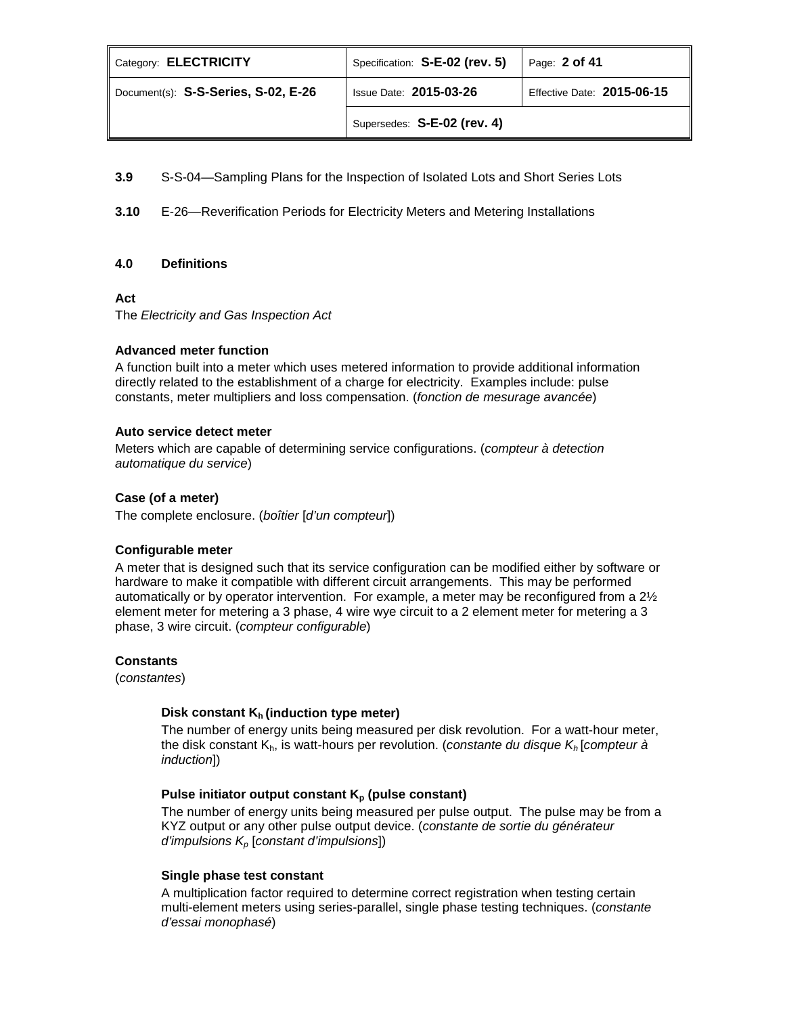| Category: ELECTRICITY               | Specification: S-E-02 (rev. 5) | Page: $2$ of 41            |
|-------------------------------------|--------------------------------|----------------------------|
| Document(s): S-S-Series, S-02, E-26 | <b>Issue Date: 2015-03-26</b>  | Effective Date: 2015-06-15 |
|                                     | Supersedes: S-E-02 (rev. 4)    |                            |

**3.9** S-S-04—Sampling Plans for the Inspection of Isolated Lots and Short Series Lots

**3.10** E-26—Reverification Periods for Electricity Meters and Metering Installations

## **4.0 Definitions**

#### **Act**

The *Electricity and Gas Inspection Act*

## **Advanced meter function**

A function built into a meter which uses metered information to provide additional information directly related to the establishment of a charge for electricity. Examples include: pulse constants, meter multipliers and loss compensation. (*fonction de mesurage avancée*)

## **Auto service detect meter**

Meters which are capable of determining service configurations. (*compteur à detection automatique du service*)

## **Case (of a meter)**

The complete enclosure. (*boîtier* [*d'un compteur*])

## **Configurable meter**

A meter that is designed such that its service configuration can be modified either by software or hardware to make it compatible with different circuit arrangements. This may be performed automatically or by operator intervention. For example, a meter may be reconfigured from a  $2\frac{1}{2}$ element meter for metering a 3 phase, 4 wire wye circuit to a 2 element meter for metering a 3 phase, 3 wire circuit. (*compteur configurable*)

#### **Constants**

(*constantes*)

## **Disk constant K<sub>h</sub> (induction type meter)**

The number of energy units being measured per disk revolution. For a watt-hour meter, the disk constant Kh, is watt-hours per revolution. (*constante du disque Kh* [*compteur à induction*])

## Pulse initiator output constant K<sub>p</sub> (pulse constant)

The number of energy units being measured per pulse output. The pulse may be from a KYZ output or any other pulse output device. (*constante de sortie du générateur d'impulsions Kp* [*constant d'impulsions*])

## **Single phase test constant**

A multiplication factor required to determine correct registration when testing certain multi-element meters using series-parallel, single phase testing techniques. (*constante d'essai monophasé*)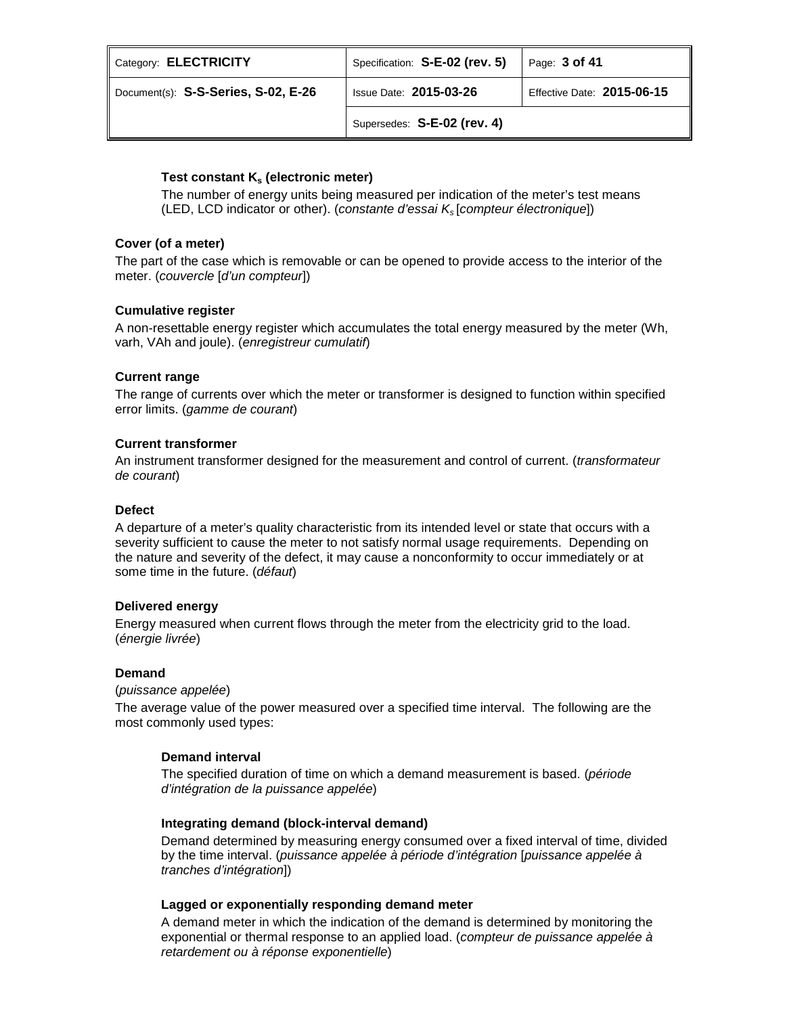| Category: ELECTRICITY               | Specification: S-E-02 (rev. 5) | Page: 3 of 41              |
|-------------------------------------|--------------------------------|----------------------------|
| Document(s): S-S-Series, S-02, E-26 | <b>Issue Date: 2015-03-26</b>  | Effective Date: 2015-06-15 |
|                                     | Supersedes: S-E-02 (rev. 4)    |                            |

# Test constant K<sub>s</sub> (electronic meter)

The number of energy units being measured per indication of the meter's test means (LED, LCD indicator or other). (*constante d'essai Ks* [*compteur électronique*])

# **Cover (of a meter)**

The part of the case which is removable or can be opened to provide access to the interior of the meter. (*couvercle* [*d'un compteur*])

# **Cumulative register**

A non-resettable energy register which accumulates the total energy measured by the meter (Wh, varh, VAh and joule). (*enregistreur cumulatif*)

# **Current range**

The range of currents over which the meter or transformer is designed to function within specified error limits. (*gamme de courant*)

## **Current transformer**

An instrument transformer designed for the measurement and control of current. (*transformateur de courant*)

## **Defect**

A departure of a meter's quality characteristic from its intended level or state that occurs with a severity sufficient to cause the meter to not satisfy normal usage requirements. Depending on the nature and severity of the defect, it may cause a nonconformity to occur immediately or at some time in the future. (*défaut*)

# **Delivered energy**

Energy measured when current flows through the meter from the electricity grid to the load. (*énergie livrée*)

# **Demand**

(*puissance appelée*)

The average value of the power measured over a specified time interval. The following are the most commonly used types:

# **Demand interval**

The specified duration of time on which a demand measurement is based. (*période d'intégration de la puissance appelée*)

## **Integrating demand (block-interval demand)**

Demand determined by measuring energy consumed over a fixed interval of time, divided by the time interval. (*puissance appelée à période d'intégration* [*puissance appelée à tranches d'intégration*])

## **Lagged or exponentially responding demand meter**

A demand meter in which the indication of the demand is determined by monitoring the exponential or thermal response to an applied load. (*compteur de puissance appelée à retardement ou à réponse exponentielle*)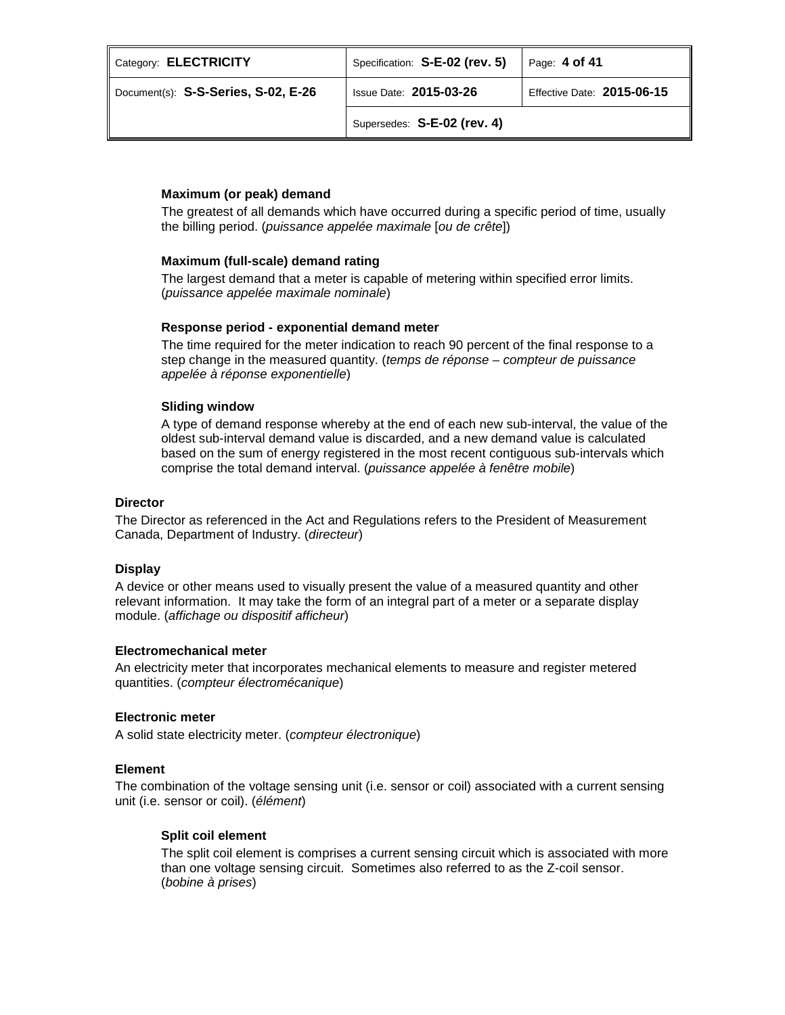| Category: ELECTRICITY               | Specification: S-E-02 (rev. 5) | Page: 4 of 41              |
|-------------------------------------|--------------------------------|----------------------------|
| Document(s): S-S-Series, S-02, E-26 | <b>Issue Date: 2015-03-26</b>  | Effective Date: 2015-06-15 |
|                                     | Supersedes: S-E-02 (rev. 4)    |                            |

## **Maximum (or peak) demand**

The greatest of all demands which have occurred during a specific period of time, usually the billing period. (*puissance appelée maximale* [*ou de crête*])

## **Maximum (full-scale) demand rating**

The largest demand that a meter is capable of metering within specified error limits. (*puissance appelée maximale nominale*)

## **Response period - exponential demand meter**

The time required for the meter indication to reach 90 percent of the final response to a step change in the measured quantity. (*temps de réponse – compteur de puissance appelée à réponse exponentielle*)

## **Sliding window**

A type of demand response whereby at the end of each new sub-interval, the value of the oldest sub-interval demand value is discarded, and a new demand value is calculated based on the sum of energy registered in the most recent contiguous sub-intervals which comprise the total demand interval. (*puissance appelée à fenêtre mobile*)

## **Director**

The Director as referenced in the Act and Regulations refers to the President of Measurement Canada, Department of Industry. (*directeur*)

## **Display**

A device or other means used to visually present the value of a measured quantity and other relevant information. It may take the form of an integral part of a meter or a separate display module. (*affichage ou dispositif afficheur*)

## **Electromechanical meter**

An electricity meter that incorporates mechanical elements to measure and register metered quantities. (*compteur électromécanique*)

## **Electronic meter**

A solid state electricity meter. (*compteur électronique*)

## **Element**

The combination of the voltage sensing unit (i.e. sensor or coil) associated with a current sensing unit (i.e. sensor or coil). (*élément*)

# **Split coil element**

The split coil element is comprises a current sensing circuit which is associated with more than one voltage sensing circuit. Sometimes also referred to as the Z-coil sensor. (*bobine à prises*)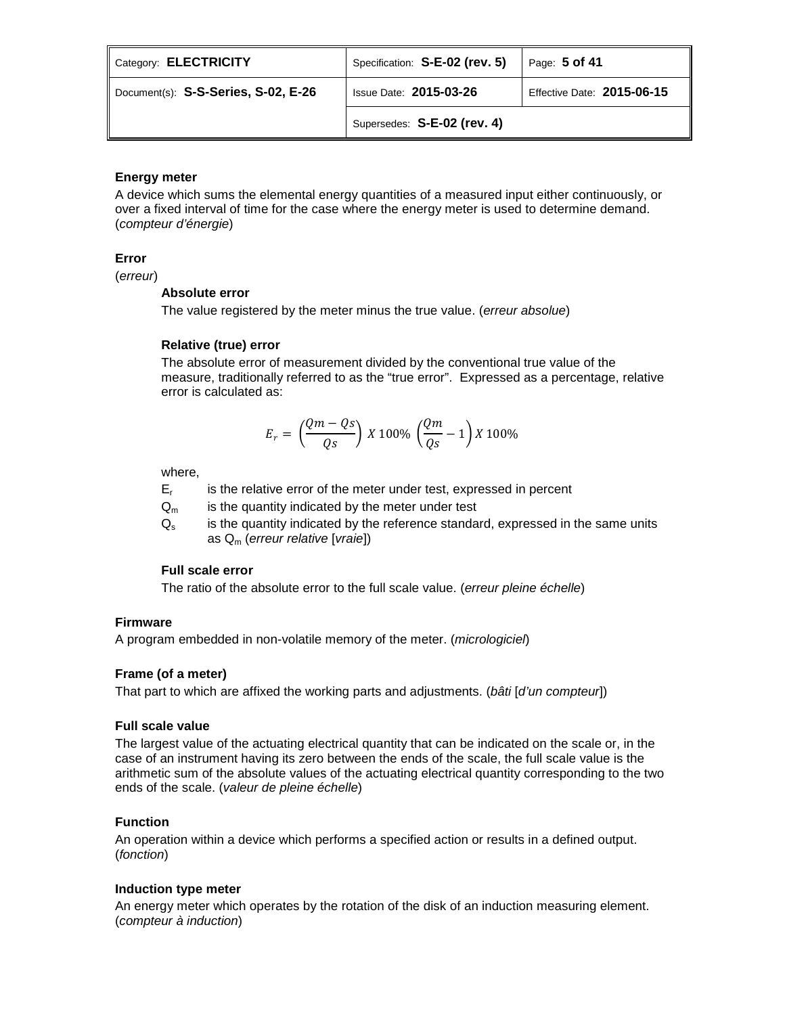| Category: ELECTRICITY               | Specification: S-E-02 (rev. 5) | Page: 5 of 41              |
|-------------------------------------|--------------------------------|----------------------------|
| Document(s): S-S-Series, S-02, E-26 | <b>Issue Date: 2015-03-26</b>  | Effective Date: 2015-06-15 |
|                                     | Supersedes: S-E-02 (rev. 4)    |                            |

# **Energy meter**

A device which sums the elemental energy quantities of a measured input either continuously, or over a fixed interval of time for the case where the energy meter is used to determine demand. (*compteur d'énergie*)

# **Error**

(*erreur*)

## **Absolute error**

The value registered by the meter minus the true value. (*erreur absolue*)

# **Relative (true) error**

The absolute error of measurement divided by the conventional true value of the measure, traditionally referred to as the "true error". Expressed as a percentage, relative error is calculated as:

$$
E_r = \left(\frac{Qm - Qs}{Qs}\right) X 100\% \left(\frac{Qm}{Qs} - 1\right) X 100\%
$$

where,

 $E_r$  is the relative error of the meter under test, expressed in percent

 $Q_m$  is the quantity indicated by the meter under test

 $Q<sub>s</sub>$  is the quantity indicated by the reference standard, expressed in the same units as Qm (*erreur relative* [*vraie*])

# **Full scale error**

The ratio of the absolute error to the full scale value. (*erreur pleine échelle*)

# **Firmware**

A program embedded in non-volatile memory of the meter. (*micrologiciel*)

# **Frame (of a meter)**

That part to which are affixed the working parts and adjustments. (*bâti* [*d'un compteur*])

# **Full scale value**

The largest value of the actuating electrical quantity that can be indicated on the scale or, in the case of an instrument having its zero between the ends of the scale, the full scale value is the arithmetic sum of the absolute values of the actuating electrical quantity corresponding to the two ends of the scale. (*valeur de pleine échelle*)

# **Function**

An operation within a device which performs a specified action or results in a defined output. (*fonction*)

# **Induction type meter**

An energy meter which operates by the rotation of the disk of an induction measuring element. (*compteur à induction*)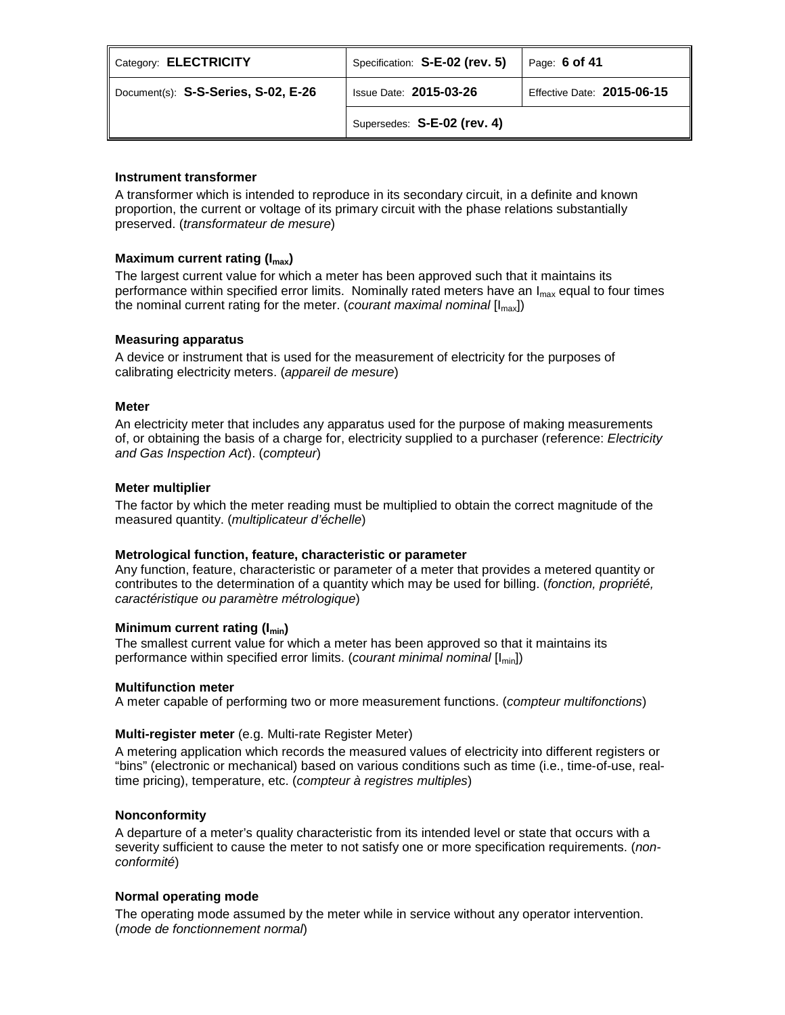| Category: ELECTRICITY              | Specification: S-E-02 (rev. 5) | Page: 6 of 41              |
|------------------------------------|--------------------------------|----------------------------|
| Document(s) S-S-Series, S-02, E-26 | <b>Issue Date: 2015-03-26</b>  | Effective Date: 2015-06-15 |
|                                    | Supersedes: S-E-02 (rev. 4)    |                            |

## **Instrument transformer**

A transformer which is intended to reproduce in its secondary circuit, in a definite and known proportion, the current or voltage of its primary circuit with the phase relations substantially preserved. (*transformateur de mesure*)

## **Maximum current rating (I<sub>max</sub>)**

The largest current value for which a meter has been approved such that it maintains its performance within specified error limits. Nominally rated meters have an  $I_{\text{max}}$  equal to four times the nominal current rating for the meter. (*courant maximal nominal* [Imax])

## **Measuring apparatus**

A device or instrument that is used for the measurement of electricity for the purposes of calibrating electricity meters. (*appareil de mesure*)

## **Meter**

An electricity meter that includes any apparatus used for the purpose of making measurements of, or obtaining the basis of a charge for, electricity supplied to a purchaser (reference: *Electricity and Gas Inspection Act*). (*compteur*)

## **Meter multiplier**

The factor by which the meter reading must be multiplied to obtain the correct magnitude of the measured quantity. (*multiplicateur d'échelle*)

## **Metrological function, feature, characteristic or parameter**

Any function, feature, characteristic or parameter of a meter that provides a metered quantity or contributes to the determination of a quantity which may be used for billing. (*fonction, propriété, caractéristique ou paramètre métrologique*)

## **Minimum current rating (I<sub>min</sub>)**

The smallest current value for which a meter has been approved so that it maintains its performance within specified error limits. (*courant minimal nominal* [Imin])

## **Multifunction meter**

A meter capable of performing two or more measurement functions. (*compteur multifonctions*)

# **Multi-register meter** (e.g. Multi-rate Register Meter)

A metering application which records the measured values of electricity into different registers or "bins" (electronic or mechanical) based on various conditions such as time (i.e., time-of-use, realtime pricing), temperature, etc. (*compteur à registres multiples*)

## **Nonconformity**

A departure of a meter's quality characteristic from its intended level or state that occurs with a severity sufficient to cause the meter to not satisfy one or more specification requirements. (*nonconformité*)

## **Normal operating mode**

The operating mode assumed by the meter while in service without any operator intervention. (*mode de fonctionnement normal*)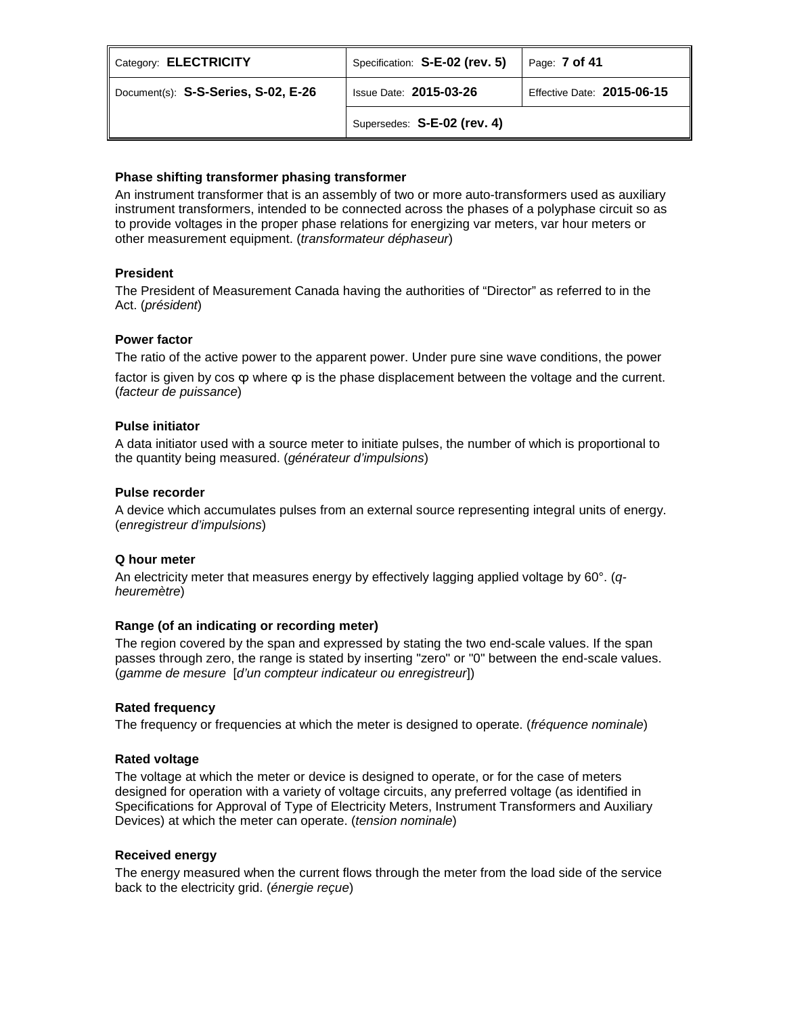| Category: ELECTRICITY               | Specification: S-E-02 (rev. 5) | Page: <b>7 of 41</b>       |
|-------------------------------------|--------------------------------|----------------------------|
| Document(s): S-S-Series, S-02, E-26 | <b>Issue Date: 2015-03-26</b>  | Effective Date: 2015-06-15 |
|                                     | Supersedes: S-E-02 (rev. 4)    |                            |

## **Phase shifting transformer phasing transformer**

An instrument transformer that is an assembly of two or more auto-transformers used as auxiliary instrument transformers, intended to be connected across the phases of a polyphase circuit so as to provide voltages in the proper phase relations for energizing var meters, var hour meters or other measurement equipment. (*transformateur déphaseur*)

## **President**

The President of Measurement Canada having the authorities of "Director" as referred to in the Act. (*président*)

## **Power factor**

The ratio of the active power to the apparent power. Under pure sine wave conditions, the power

factor is given by cos φ where φ is the phase displacement between the voltage and the current. (*facteur de puissance*)

## **Pulse initiator**

A data initiator used with a source meter to initiate pulses, the number of which is proportional to the quantity being measured. (*générateur d'impulsions*)

## **Pulse recorder**

A device which accumulates pulses from an external source representing integral units of energy. (*enregistreur d'impulsions*)

# **Q hour meter**

An electricity meter that measures energy by effectively lagging applied voltage by 60°. (*qheuremètre*)

## **Range (of an indicating or recording meter)**

The region covered by the span and expressed by stating the two end-scale values. If the span passes through zero, the range is stated by inserting "zero" or "0" between the end-scale values. (*gamme de mesure* [*d'un compteur indicateur ou enregistreur*])

## **Rated frequency**

The frequency or frequencies at which the meter is designed to operate. (*fréquence nominale*)

## **Rated voltage**

The voltage at which the meter or device is designed to operate, or for the case of meters designed for operation with a variety of voltage circuits, any preferred voltage (as identified in Specifications for Approval of Type of Electricity Meters, Instrument Transformers and Auxiliary Devices) at which the meter can operate. (*tension nominale*)

## **Received energy**

The energy measured when the current flows through the meter from the load side of the service back to the electricity grid. (*énergie reçue*)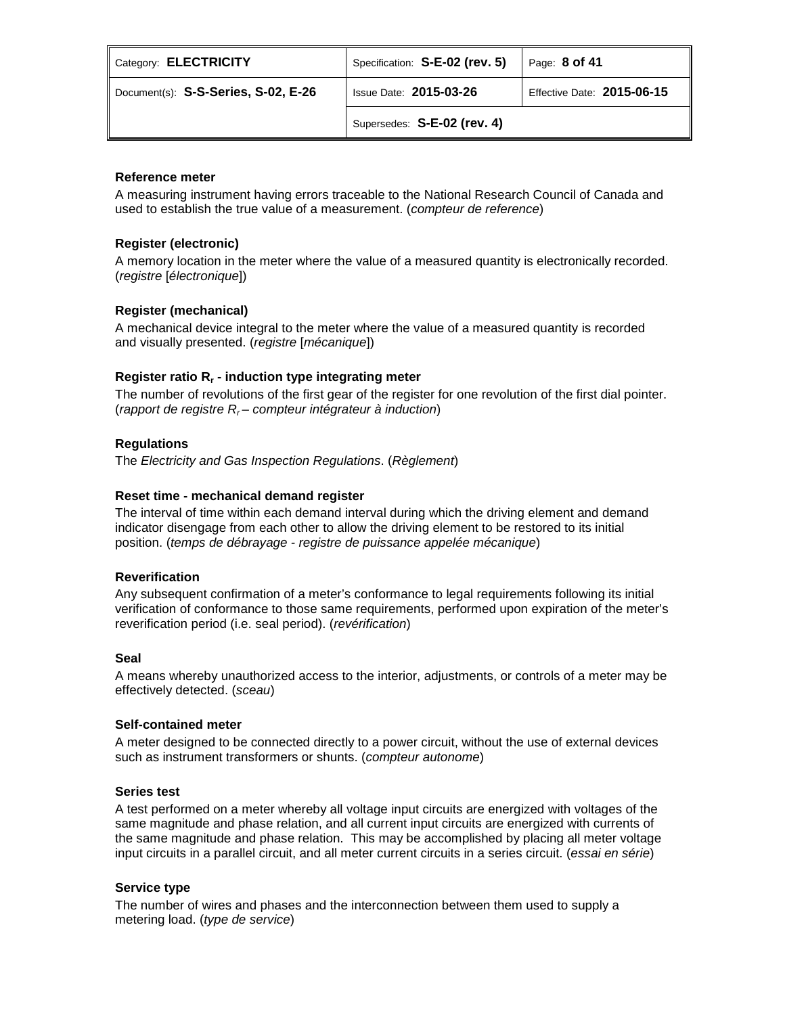| Category: ELECTRICITY               | Specification: S-E-02 (rev. 5) | Page: $8$ of 41            |
|-------------------------------------|--------------------------------|----------------------------|
| Document(s): S-S-Series, S-02, E-26 | <b>Issue Date: 2015-03-26</b>  | Effective Date: 2015-06-15 |
|                                     | Supersedes: S-E-02 (rev. 4)    |                            |

## **Reference meter**

A measuring instrument having errors traceable to the National Research Council of Canada and used to establish the true value of a measurement. (*compteur de reference*)

## **Register (electronic)**

A memory location in the meter where the value of a measured quantity is electronically recorded. (*registre* [*électronique*])

# **Register (mechanical)**

A mechanical device integral to the meter where the value of a measured quantity is recorded and visually presented. (*registre* [*mécanique*])

# **Register ratio Rr - induction type integrating meter**

The number of revolutions of the first gear of the register for one revolution of the first dial pointer. (*rapport de registre Rr – compteur intégrateur à induction*)

## **Regulations**

The *Electricity and Gas Inspection Regulations*. (*Règlement*)

## **Reset time - mechanical demand register**

The interval of time within each demand interval during which the driving element and demand indicator disengage from each other to allow the driving element to be restored to its initial position. (*temps de débrayage - registre de puissance appelée mécanique*)

## **Reverification**

Any subsequent confirmation of a meter's conformance to legal requirements following its initial verification of conformance to those same requirements, performed upon expiration of the meter's reverification period (i.e. seal period). (*revérification*)

## **Seal**

A means whereby unauthorized access to the interior, adjustments, or controls of a meter may be effectively detected. (*sceau*)

## **Self-contained meter**

A meter designed to be connected directly to a power circuit, without the use of external devices such as instrument transformers or shunts. (*compteur autonome*)

## **Series test**

A test performed on a meter whereby all voltage input circuits are energized with voltages of the same magnitude and phase relation, and all current input circuits are energized with currents of the same magnitude and phase relation. This may be accomplished by placing all meter voltage input circuits in a parallel circuit, and all meter current circuits in a series circuit. (*essai en série*)

# **Service type**

The number of wires and phases and the interconnection between them used to supply a metering load. (*type de service*)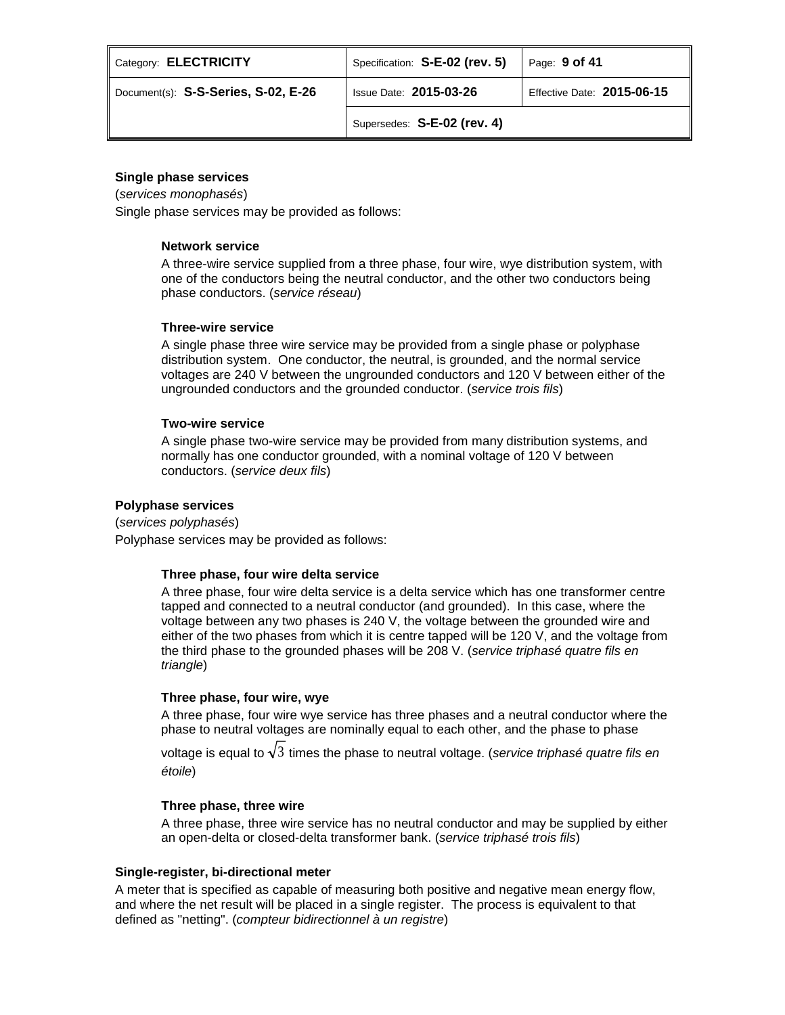| Category: ELECTRICITY               | Specification: S-E-02 (rev. 5) | Page: 9 of 41              |
|-------------------------------------|--------------------------------|----------------------------|
| Document(s): S-S-Series, S-02, E-26 | <b>Issue Date: 2015-03-26</b>  | Effective Date: 2015-06-15 |
|                                     | Supersedes: S-E-02 (rev. 4)    |                            |

## **Single phase services**

(*services monophasés*)

Single phase services may be provided as follows:

## **Network service**

A three-wire service supplied from a three phase, four wire, wye distribution system, with one of the conductors being the neutral conductor, and the other two conductors being phase conductors. (*service réseau*)

## **Three-wire service**

A single phase three wire service may be provided from a single phase or polyphase distribution system. One conductor, the neutral, is grounded, and the normal service voltages are 240 V between the ungrounded conductors and 120 V between either of the ungrounded conductors and the grounded conductor. (*service trois fils*)

## **Two-wire service**

A single phase two-wire service may be provided from many distribution systems, and normally has one conductor grounded, with a nominal voltage of 120 V between conductors. (*service deux fils*)

## **Polyphase services**

(*services polyphasés*) Polyphase services may be provided as follows:

# **Three phase, four wire delta service**

A three phase, four wire delta service is a delta service which has one transformer centre tapped and connected to a neutral conductor (and grounded). In this case, where the voltage between any two phases is 240 V, the voltage between the grounded wire and either of the two phases from which it is centre tapped will be 120 V, and the voltage from the third phase to the grounded phases will be 208 V. (*service triphasé quatre fils en triangle*)

## **Three phase, four wire, wye**

A three phase, four wire wye service has three phases and a neutral conductor where the phase to neutral voltages are nominally equal to each other, and the phase to phase

voltage is equal to  $\sqrt{3}$  times the phase to neutral voltage. (*service triphasé quatre fils en étoile*)

## **Three phase, three wire**

A three phase, three wire service has no neutral conductor and may be supplied by either an open-delta or closed-delta transformer bank. (*service triphasé trois fils*)

## **Single-register, bi-directional meter**

A meter that is specified as capable of measuring both positive and negative mean energy flow, and where the net result will be placed in a single register. The process is equivalent to that defined as "netting". (*compteur bidirectionnel à un registre*)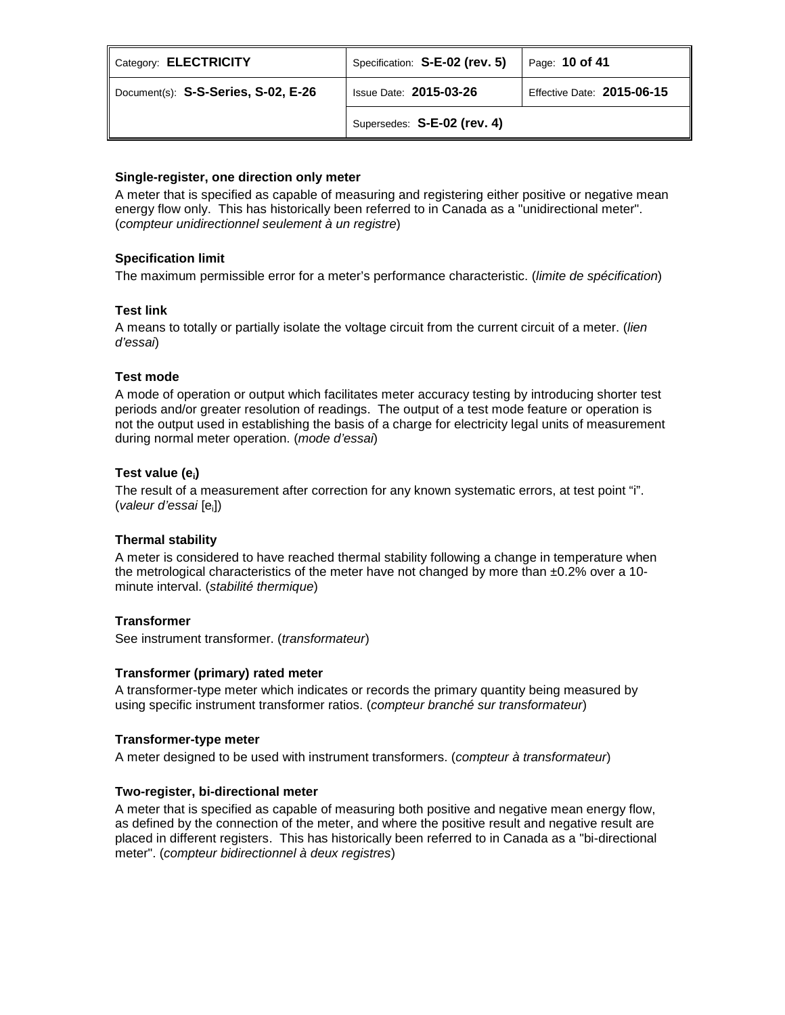| Category: ELECTRICITY               | Specification: S-E-02 (rev. 5) | Page: $10$ of $41$         |
|-------------------------------------|--------------------------------|----------------------------|
| Document(s): S-S-Series, S-02, E-26 | <b>Issue Date: 2015-03-26</b>  | Effective Date: 2015-06-15 |
|                                     | Supersedes: S-E-02 (rev. 4)    |                            |

# **Single-register, one direction only meter**

A meter that is specified as capable of measuring and registering either positive or negative mean energy flow only. This has historically been referred to in Canada as a "unidirectional meter". (*compteur unidirectionnel seulement à un registre*)

# **Specification limit**

The maximum permissible error for a meter's performance characteristic. (*limite de spécification*)

# **Test link**

A means to totally or partially isolate the voltage circuit from the current circuit of a meter. (*lien d'essai*)

# **Test mode**

A mode of operation or output which facilitates meter accuracy testing by introducing shorter test periods and/or greater resolution of readings. The output of a test mode feature or operation is not the output used in establishing the basis of a charge for electricity legal units of measurement during normal meter operation. (*mode d'essai*)

# **Test value (ei)**

The result of a measurement after correction for any known systematic errors, at test point "i". (*valeur d'essai* [ei])

# **Thermal stability**

A meter is considered to have reached thermal stability following a change in temperature when the metrological characteristics of the meter have not changed by more than  $\pm 0.2\%$  over a 10minute interval. (*stabilité thermique*)

# **Transformer**

See instrument transformer. (*transformateur*)

# **Transformer (primary) rated meter**

A transformer-type meter which indicates or records the primary quantity being measured by using specific instrument transformer ratios. (*compteur branché sur transformateur*)

# **Transformer-type meter**

A meter designed to be used with instrument transformers. (*compteur à transformateur*)

# **Two-register, bi-directional meter**

A meter that is specified as capable of measuring both positive and negative mean energy flow, as defined by the connection of the meter, and where the positive result and negative result are placed in different registers. This has historically been referred to in Canada as a "bi-directional meter". (*compteur bidirectionnel à deux registres*)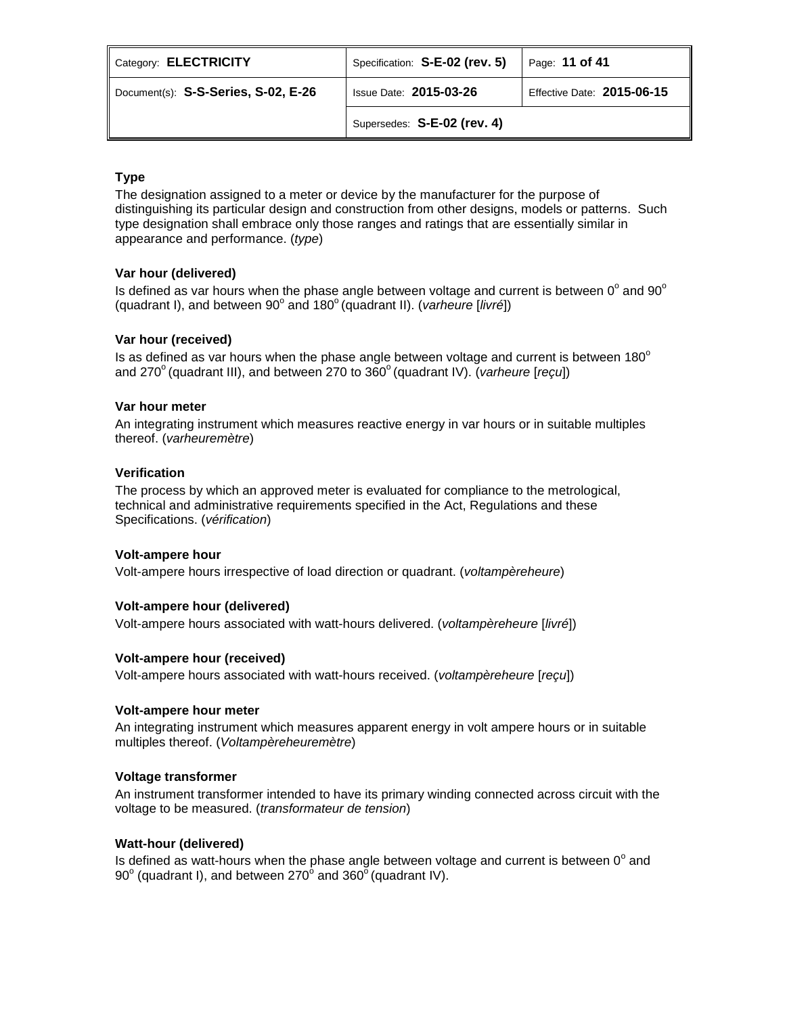| Category: ELECTRICITY               | Specification: S-E-02 (rev. 5) | Page: 11 of 41             |
|-------------------------------------|--------------------------------|----------------------------|
| Document(s): S-S-Series, S-02, E-26 | <b>Issue Date: 2015-03-26</b>  | Effective Date: 2015-06-15 |
|                                     | Supersedes: S-E-02 (rev. 4)    |                            |

# **Type**

The designation assigned to a meter or device by the manufacturer for the purpose of distinguishing its particular design and construction from other designs, models or patterns. Such type designation shall embrace only those ranges and ratings that are essentially similar in appearance and performance. (*type*)

# **Var hour (delivered)**

Is defined as var hours when the phase angle between voltage and current is between  $0^{\circ}$  and  $90^{\circ}$ (quadrant I), and between 90<sup>°</sup> and 180<sup>°</sup> (quadrant II). (*varheure* [*livré*])

## **Var hour (received)**

Is as defined as var hours when the phase angle between voltage and current is between  $180^\circ$ and 270<sup>°</sup> (quadrant III), and between 270 to 360<sup>°</sup> (quadrant IV). (*varheure* [*reçu*])

## **Var hour meter**

An integrating instrument which measures reactive energy in var hours or in suitable multiples thereof. (*varheuremètre*)

## **Verification**

The process by which an approved meter is evaluated for compliance to the metrological, technical and administrative requirements specified in the Act, Regulations and these Specifications. (*vérification*)

## **Volt-ampere hour**

Volt-ampere hours irrespective of load direction or quadrant. (*voltampèreheure*)

## **Volt-ampere hour (delivered)**

Volt-ampere hours associated with watt-hours delivered. (*voltampèreheure* [*livré*])

## **Volt-ampere hour (received)**

Volt-ampere hours associated with watt-hours received. (*voltampèreheure* [*reçu*])

## **Volt-ampere hour meter**

An integrating instrument which measures apparent energy in volt ampere hours or in suitable multiples thereof. (*Voltampèreheuremètre*)

## **Voltage transformer**

An instrument transformer intended to have its primary winding connected across circuit with the voltage to be measured. (*transformateur de tension*)

## **Watt-hour (delivered)**

Is defined as watt-hours when the phase angle between voltage and current is between  $0^{\circ}$  and 90 $^{\circ}$  (quadrant I), and between 270 $^{\circ}$  and 360 $^{\circ}$  (quadrant IV).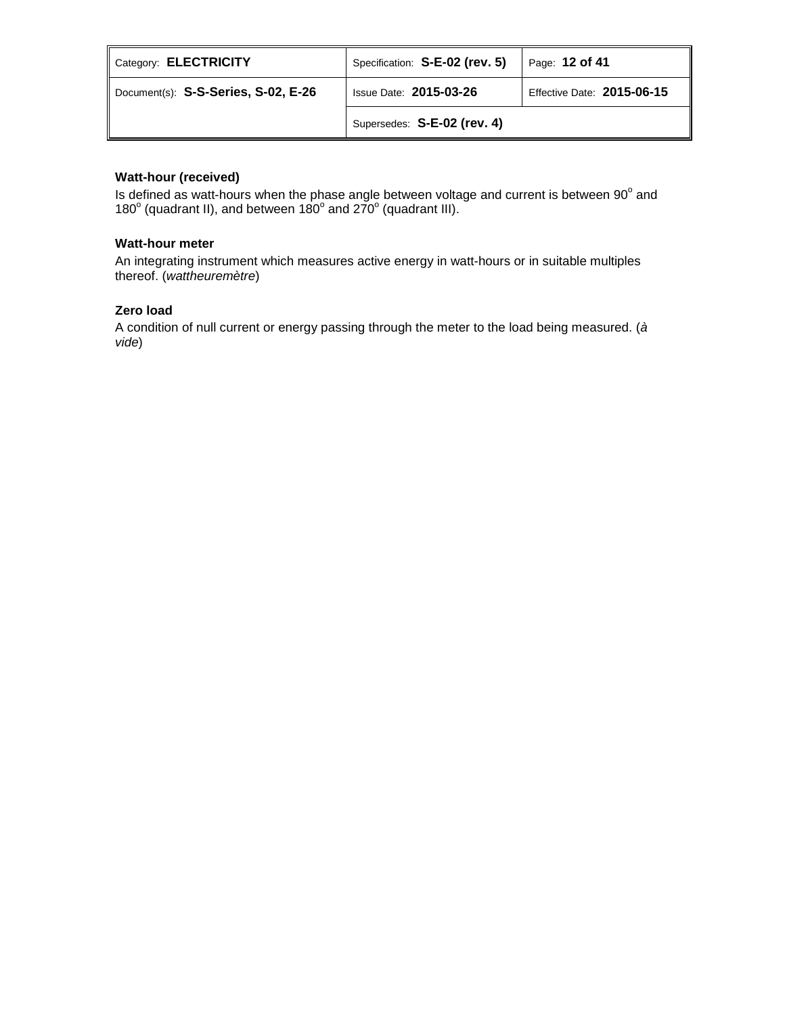| Category: ELECTRICITY               | Specification: S-E-02 (rev. 5) | Page: 12 of 41             |
|-------------------------------------|--------------------------------|----------------------------|
| Document(s): S-S-Series, S-02, E-26 | <b>Issue Date: 2015-03-26</b>  | Effective Date: 2015-06-15 |
|                                     | Supersedes: S-E-02 (rev. 4)    |                            |

# **Watt-hour (received)**

Is defined as watt-hours when the phase angle between voltage and current is between  $90^{\circ}$  and 180 $^{\circ}$  (quadrant II), and between 180 $^{\circ}$  and 270 $^{\circ}$  (quadrant III).

# **Watt-hour meter**

An integrating instrument which measures active energy in watt-hours or in suitable multiples thereof. (*wattheuremètre*)

# **Zero load**

A condition of null current or energy passing through the meter to the load being measured. (*à vide*)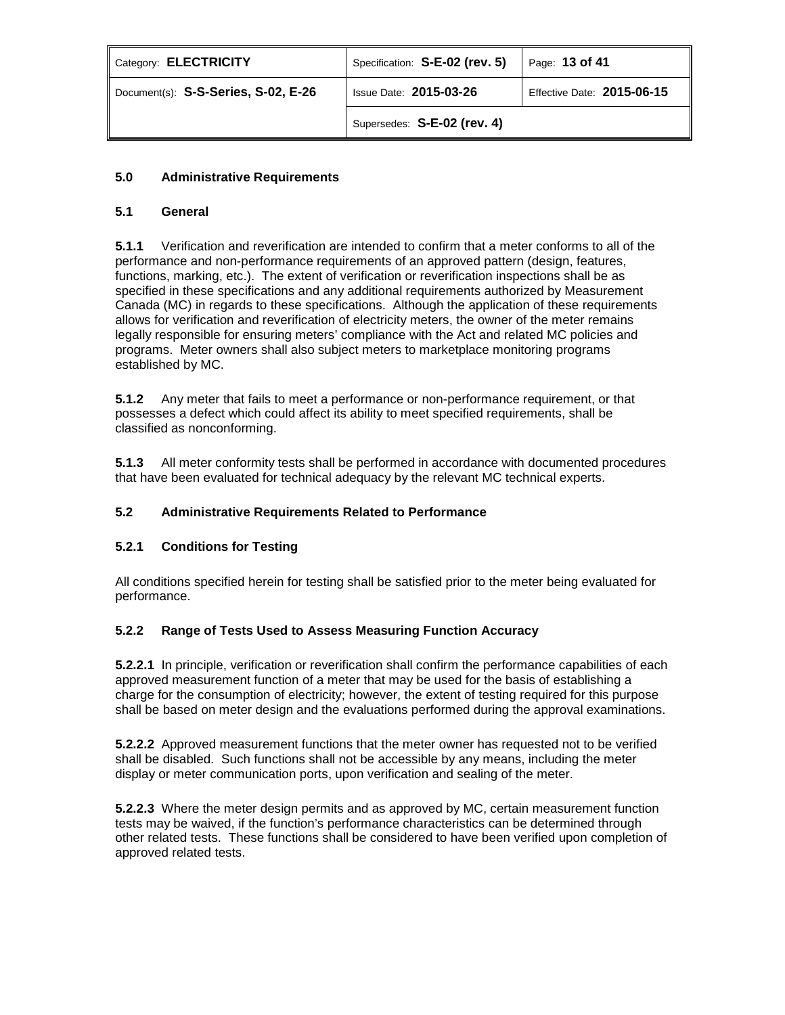| Category: ELECTRICITY               | Specification: S-E-02 (rev. 5) | Page: 13 of 41             |
|-------------------------------------|--------------------------------|----------------------------|
| Document(s): S-S-Series, S-02, E-26 | <b>Issue Date: 2015-03-26</b>  | Effective Date: 2015-06-15 |
|                                     | Supersedes: S-E-02 (rev. 4)    |                            |

# **5.0 Administrative Requirements**

# **5.1 General**

**5.1.1** Verification and reverification are intended to confirm that a meter conforms to all of the performance and non-performance requirements of an approved pattern (design, features, functions, marking, etc.). The extent of verification or reverification inspections shall be as specified in these specifications and any additional requirements authorized by Measurement Canada (MC) in regards to these specifications. Although the application of these requirements allows for verification and reverification of electricity meters, the owner of the meter remains legally responsible for ensuring meters' compliance with the Act and related MC policies and programs. Meter owners shall also subject meters to marketplace monitoring programs established by MC.

**5.1.2** Any meter that fails to meet a performance or non-performance requirement, or that possesses a defect which could affect its ability to meet specified requirements, shall be classified as nonconforming.

**5.1.3** All meter conformity tests shall be performed in accordance with documented procedures that have been evaluated for technical adequacy by the relevant MC technical experts.

# **5.2 Administrative Requirements Related to Performance**

# **5.2.1 Conditions for Testing**

All conditions specified herein for testing shall be satisfied prior to the meter being evaluated for performance.

# **5.2.2 Range of Tests Used to Assess Measuring Function Accuracy**

**5.2.2.1** In principle, verification or reverification shall confirm the performance capabilities of each approved measurement function of a meter that may be used for the basis of establishing a charge for the consumption of electricity; however, the extent of testing required for this purpose shall be based on meter design and the evaluations performed during the approval examinations.

**5.2.2.2** Approved measurement functions that the meter owner has requested not to be verified shall be disabled. Such functions shall not be accessible by any means, including the meter display or meter communication ports, upon verification and sealing of the meter.

**5.2.2.3** Where the meter design permits and as approved by MC, certain measurement function tests may be waived, if the function's performance characteristics can be determined through other related tests. These functions shall be considered to have been verified upon completion of approved related tests.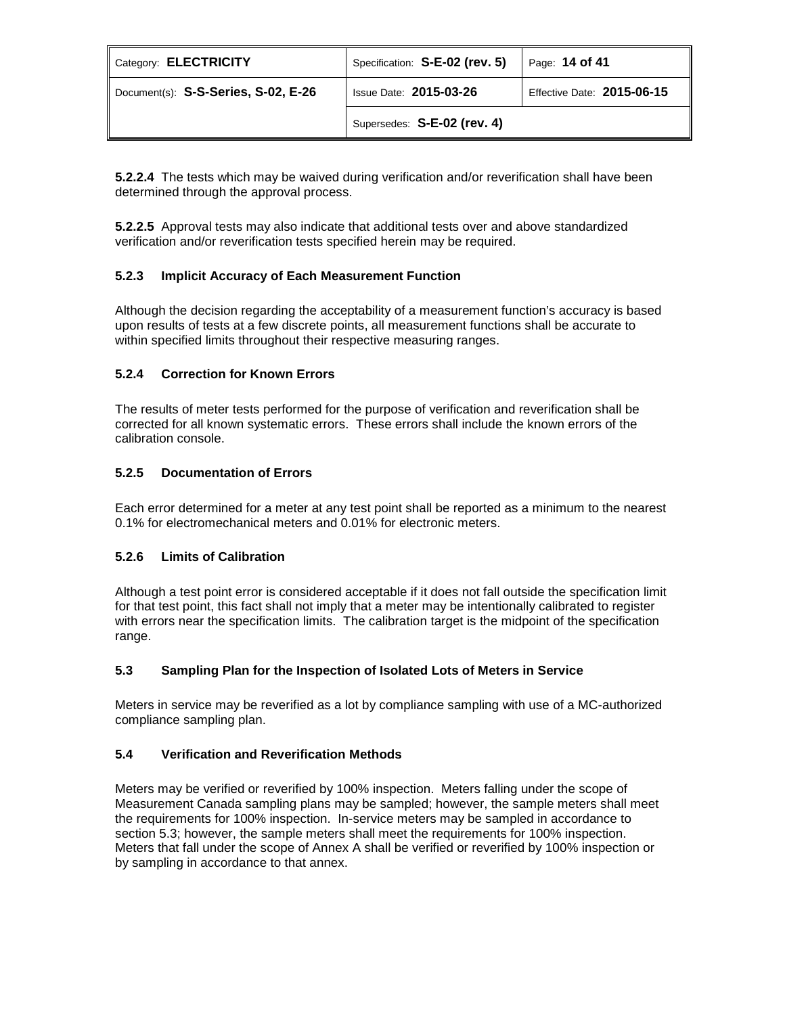| Category: <b>ELECTRICITY</b>        | Specification: S-E-02 (rev. 5) | Page: 14 of 41             |
|-------------------------------------|--------------------------------|----------------------------|
| Document(s): S-S-Series, S-02, E-26 | <b>Issue Date: 2015-03-26</b>  | Effective Date: 2015-06-15 |
|                                     | Supersedes: S-E-02 (rev. 4)    |                            |

**5.2.2.4** The tests which may be waived during verification and/or reverification shall have been determined through the approval process.

**5.2.2.5** Approval tests may also indicate that additional tests over and above standardized verification and/or reverification tests specified herein may be required.

# **5.2.3 Implicit Accuracy of Each Measurement Function**

Although the decision regarding the acceptability of a measurement function's accuracy is based upon results of tests at a few discrete points, all measurement functions shall be accurate to within specified limits throughout their respective measuring ranges.

# **5.2.4 Correction for Known Errors**

The results of meter tests performed for the purpose of verification and reverification shall be corrected for all known systematic errors. These errors shall include the known errors of the calibration console.

# **5.2.5 Documentation of Errors**

Each error determined for a meter at any test point shall be reported as a minimum to the nearest 0.1% for electromechanical meters and 0.01% for electronic meters.

# **5.2.6 Limits of Calibration**

Although a test point error is considered acceptable if it does not fall outside the specification limit for that test point, this fact shall not imply that a meter may be intentionally calibrated to register with errors near the specification limits. The calibration target is the midpoint of the specification range.

# **5.3 Sampling Plan for the Inspection of Isolated Lots of Meters in Service**

Meters in service may be reverified as a lot by compliance sampling with use of a MC-authorized compliance sampling plan.

# **5.4 Verification and Reverification Methods**

Meters may be verified or reverified by 100% inspection. Meters falling under the scope of Measurement Canada sampling plans may be sampled; however, the sample meters shall meet the requirements for 100% inspection. In-service meters may be sampled in accordance to section 5.3; however, the sample meters shall meet the requirements for 100% inspection. Meters that fall under the scope of Annex A shall be verified or reverified by 100% inspection or by sampling in accordance to that annex.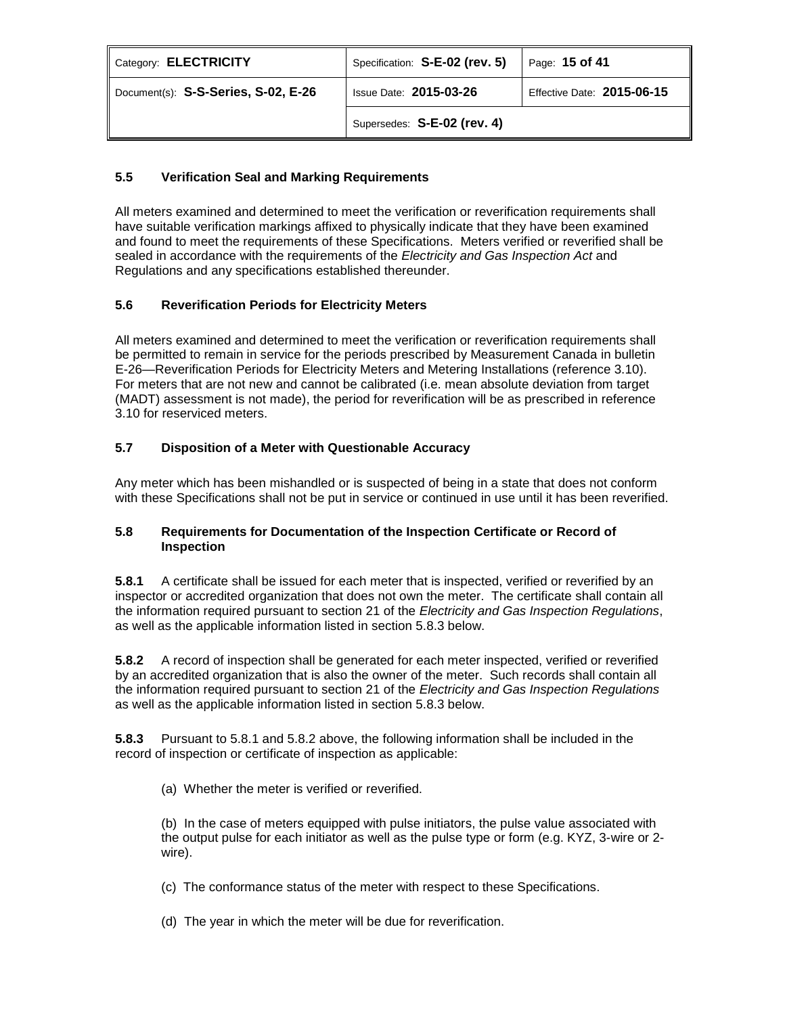| Category: ELECTRICITY               | Specification: S-E-02 (rev. 5) | Page: 15 of 41             |
|-------------------------------------|--------------------------------|----------------------------|
| Document(s): S-S-Series, S-02, E-26 | <b>Issue Date: 2015-03-26</b>  | Effective Date: 2015-06-15 |
|                                     | Supersedes: S-E-02 (rev. 4)    |                            |

# **5.5 Verification Seal and Marking Requirements**

All meters examined and determined to meet the verification or reverification requirements shall have suitable verification markings affixed to physically indicate that they have been examined and found to meet the requirements of these Specifications. Meters verified or reverified shall be sealed in accordance with the requirements of the *Electricity and Gas Inspection Act* and Regulations and any specifications established thereunder.

# **5.6 Reverification Periods for Electricity Meters**

All meters examined and determined to meet the verification or reverification requirements shall be permitted to remain in service for the periods prescribed by Measurement Canada in bulletin E-26—Reverification Periods for Electricity Meters and Metering Installations (reference 3.10). For meters that are not new and cannot be calibrated (i.e. mean absolute deviation from target (MADT) assessment is not made), the period for reverification will be as prescribed in reference 3.10 for reserviced meters.

# **5.7 Disposition of a Meter with Questionable Accuracy**

Any meter which has been mishandled or is suspected of being in a state that does not conform with these Specifications shall not be put in service or continued in use until it has been reverified.

# **5.8 Requirements for Documentation of the Inspection Certificate or Record of Inspection**

**5.8.1** A certificate shall be issued for each meter that is inspected, verified or reverified by an inspector or accredited organization that does not own the meter. The certificate shall contain all the information required pursuant to section 21 of the *Electricity and Gas Inspection Regulations*, as well as the applicable information listed in section 5.8.3 below.

**5.8.2** A record of inspection shall be generated for each meter inspected, verified or reverified by an accredited organization that is also the owner of the meter. Such records shall contain all the information required pursuant to section 21 of the *Electricity and Gas Inspection Regulations* as well as the applicable information listed in section 5.8.3 below.

**5.8.3** Pursuant to 5.8.1 and 5.8.2 above, the following information shall be included in the record of inspection or certificate of inspection as applicable:

(a) Whether the meter is verified or reverified.

(b) In the case of meters equipped with pulse initiators, the pulse value associated with the output pulse for each initiator as well as the pulse type or form (e.g. KYZ, 3-wire or 2 wire).

(c) The conformance status of the meter with respect to these Specifications.

(d) The year in which the meter will be due for reverification.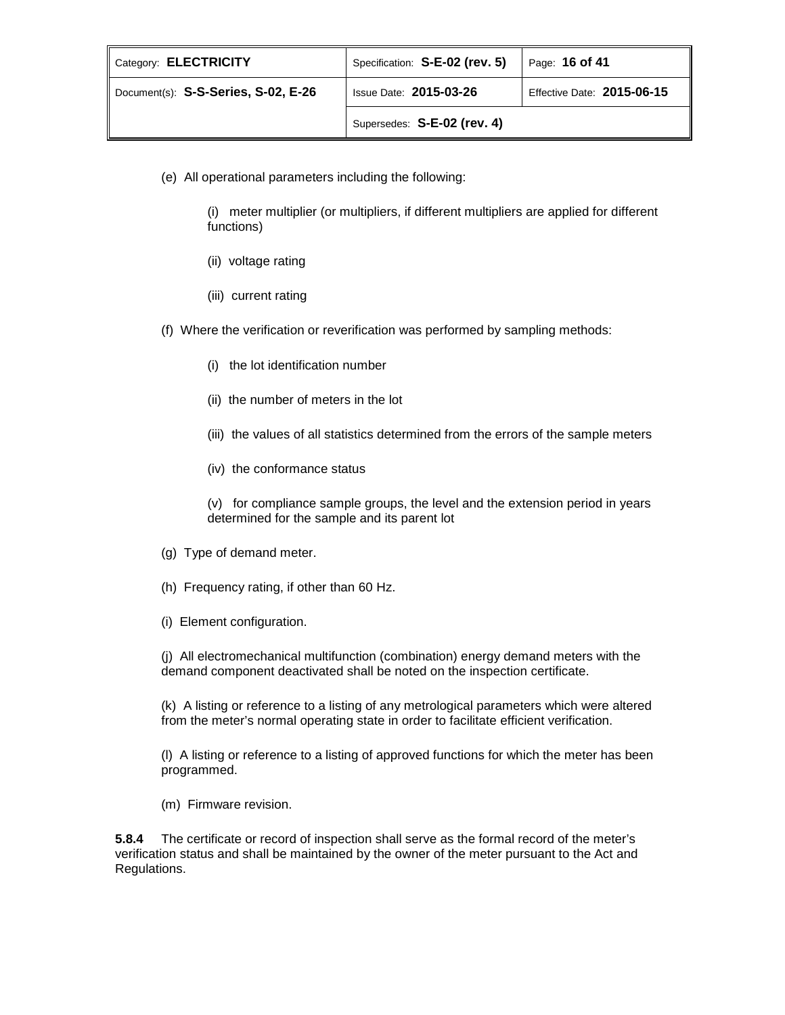| Category: <b>ELECTRICITY</b>        | Specification: S-E-02 (rev. 5) | Page: 16 of 41             |
|-------------------------------------|--------------------------------|----------------------------|
| Document(s): S-S-Series, S-02, E-26 | <b>Issue Date: 2015-03-26</b>  | Effective Date: 2015-06-15 |
|                                     | Supersedes: S-E-02 (rev. 4)    |                            |

(e) All operational parameters including the following:

(i) meter multiplier (or multipliers, if different multipliers are applied for different functions)

- (ii) voltage rating
- (iii) current rating
- (f) Where the verification or reverification was performed by sampling methods:
	- (i) the lot identification number
	- (ii) the number of meters in the lot
	- (iii) the values of all statistics determined from the errors of the sample meters
	- (iv) the conformance status

(v) for compliance sample groups, the level and the extension period in years determined for the sample and its parent lot

- (g) Type of demand meter.
- (h) Frequency rating, if other than 60 Hz.
- (i) Element configuration.

(j) All electromechanical multifunction (combination) energy demand meters with the demand component deactivated shall be noted on the inspection certificate.

(k) A listing or reference to a listing of any metrological parameters which were altered from the meter's normal operating state in order to facilitate efficient verification.

(l) A listing or reference to a listing of approved functions for which the meter has been programmed.

(m) Firmware revision.

**5.8.4** The certificate or record of inspection shall serve as the formal record of the meter's verification status and shall be maintained by the owner of the meter pursuant to the Act and Regulations.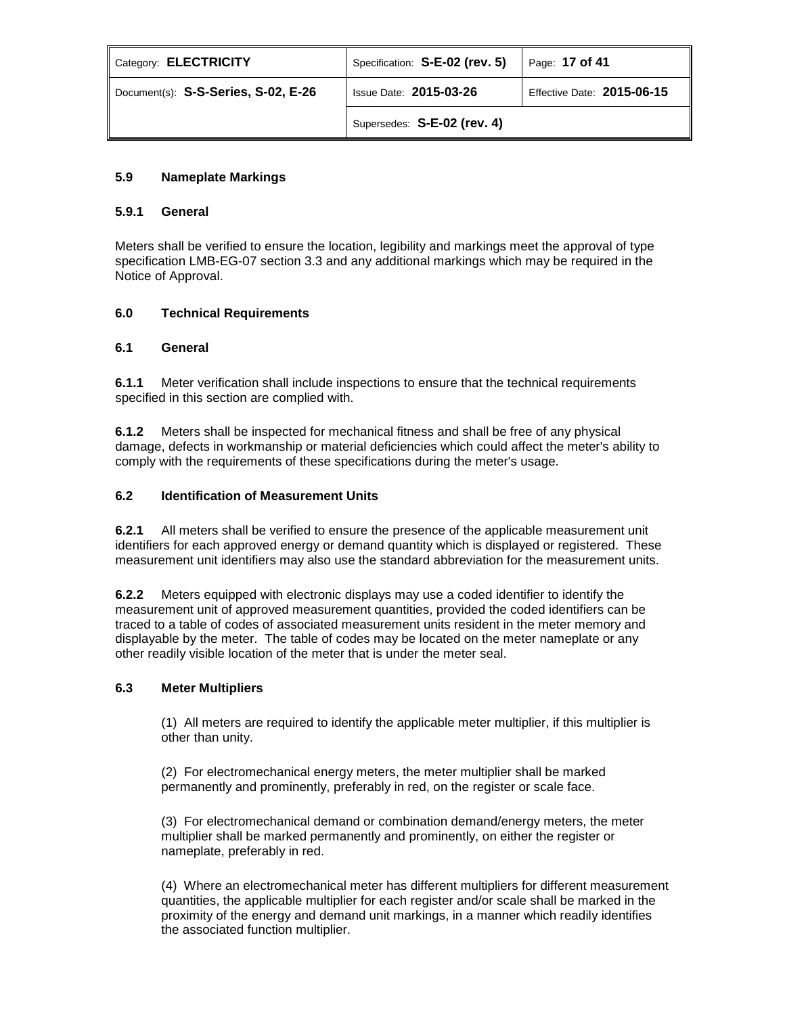| Category: ELECTRICITY               | Specification: S-E-02 (rev. 5) | Page: 17 of 41             |
|-------------------------------------|--------------------------------|----------------------------|
| Document(s): S-S-Series, S-02, E-26 | <b>Issue Date: 2015-03-26</b>  | Effective Date: 2015-06-15 |
|                                     | Supersedes: S-E-02 (rev. 4)    |                            |

# **5.9 Nameplate Markings**

# **5.9.1 General**

Meters shall be verified to ensure the location, legibility and markings meet the approval of type specification LMB-EG-07 section 3.3 and any additional markings which may be required in the Notice of Approval.

# **6.0 Technical Requirements**

# **6.1 General**

**6.1.1** Meter verification shall include inspections to ensure that the technical requirements specified in this section are complied with.

**6.1.2** Meters shall be inspected for mechanical fitness and shall be free of any physical damage, defects in workmanship or material deficiencies which could affect the meter's ability to comply with the requirements of these specifications during the meter's usage.

## **6.2 Identification of Measurement Units**

**6.2.1** All meters shall be verified to ensure the presence of the applicable measurement unit identifiers for each approved energy or demand quantity which is displayed or registered. These measurement unit identifiers may also use the standard abbreviation for the measurement units.

**6.2.2** Meters equipped with electronic displays may use a coded identifier to identify the measurement unit of approved measurement quantities, provided the coded identifiers can be traced to a table of codes of associated measurement units resident in the meter memory and displayable by the meter. The table of codes may be located on the meter nameplate or any other readily visible location of the meter that is under the meter seal.

## **6.3 Meter Multipliers**

(1) All meters are required to identify the applicable meter multiplier, if this multiplier is other than unity.

(2) For electromechanical energy meters, the meter multiplier shall be marked permanently and prominently, preferably in red, on the register or scale face.

(3) For electromechanical demand or combination demand/energy meters, the meter multiplier shall be marked permanently and prominently, on either the register or nameplate, preferably in red.

(4) Where an electromechanical meter has different multipliers for different measurement quantities, the applicable multiplier for each register and/or scale shall be marked in the proximity of the energy and demand unit markings, in a manner which readily identifies the associated function multiplier.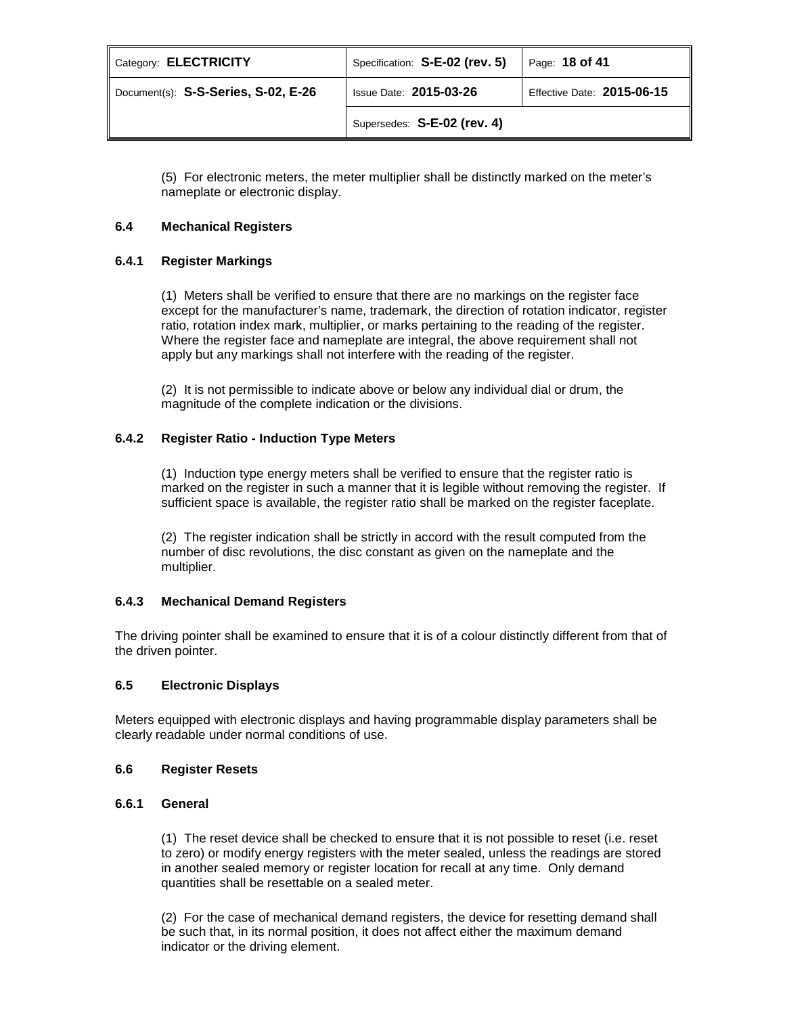| Category: ELECTRICITY               | Specification: S-E-02 (rev. 5) | Page: 18 of 41             |
|-------------------------------------|--------------------------------|----------------------------|
| Document(s): S-S-Series, S-02, E-26 | <b>Issue Date: 2015-03-26</b>  | Effective Date: 2015-06-15 |
|                                     | Supersedes: S-E-02 (rev. 4)    |                            |

(5) For electronic meters, the meter multiplier shall be distinctly marked on the meter's nameplate or electronic display.

## **6.4 Mechanical Registers**

## **6.4.1 Register Markings**

(1) Meters shall be verified to ensure that there are no markings on the register face except for the manufacturer's name, trademark, the direction of rotation indicator, register ratio, rotation index mark, multiplier, or marks pertaining to the reading of the register. Where the register face and nameplate are integral, the above requirement shall not apply but any markings shall not interfere with the reading of the register.

(2) It is not permissible to indicate above or below any individual dial or drum, the magnitude of the complete indication or the divisions.

## **6.4.2 Register Ratio - Induction Type Meters**

(1) Induction type energy meters shall be verified to ensure that the register ratio is marked on the register in such a manner that it is legible without removing the register. If sufficient space is available, the register ratio shall be marked on the register faceplate.

(2) The register indication shall be strictly in accord with the result computed from the number of disc revolutions, the disc constant as given on the nameplate and the multiplier.

## **6.4.3 Mechanical Demand Registers**

The driving pointer shall be examined to ensure that it is of a colour distinctly different from that of the driven pointer.

## **6.5 Electronic Displays**

Meters equipped with electronic displays and having programmable display parameters shall be clearly readable under normal conditions of use.

## **6.6 Register Resets**

## **6.6.1 General**

(1) The reset device shall be checked to ensure that it is not possible to reset (i.e. reset to zero) or modify energy registers with the meter sealed, unless the readings are stored in another sealed memory or register location for recall at any time. Only demand quantities shall be resettable on a sealed meter.

(2) For the case of mechanical demand registers, the device for resetting demand shall be such that, in its normal position, it does not affect either the maximum demand indicator or the driving element.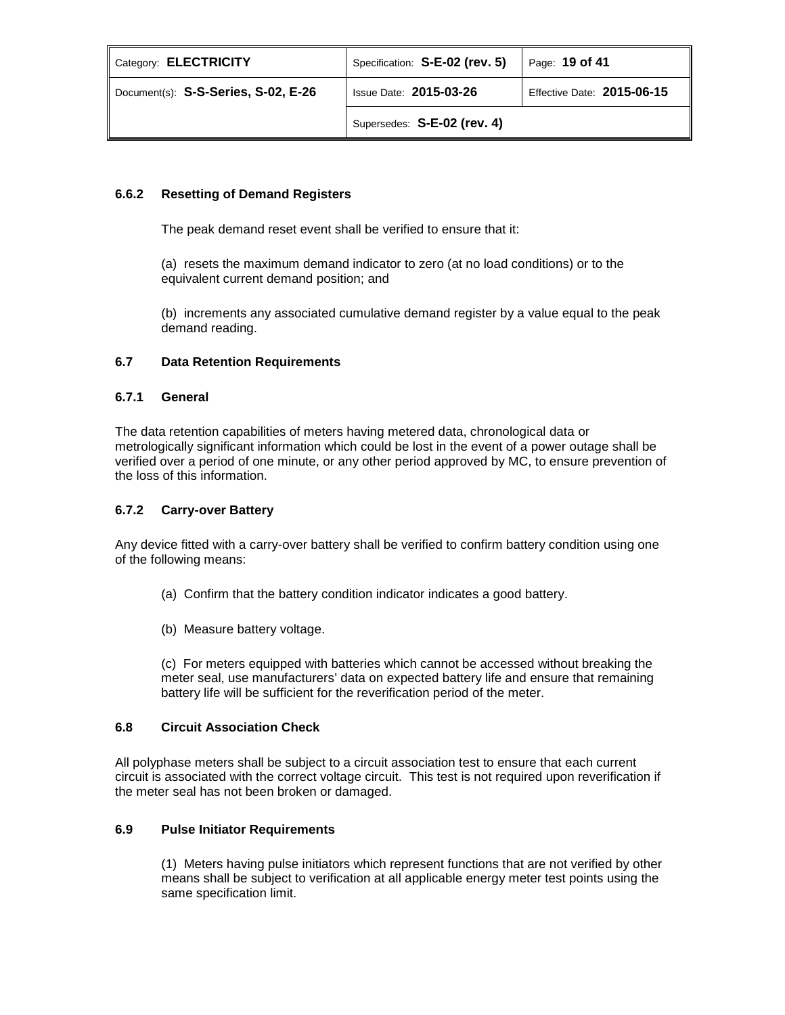| Category: ELECTRICITY               | Specification: S-E-02 (rev. 5) | Page: 19 of 41             |
|-------------------------------------|--------------------------------|----------------------------|
| Document(s): S-S-Series, S-02, E-26 | <b>Issue Date: 2015-03-26</b>  | Effective Date: 2015-06-15 |
|                                     | Supersedes: S-E-02 (rev. 4)    |                            |

# **6.6.2 Resetting of Demand Registers**

The peak demand reset event shall be verified to ensure that it:

(a) resets the maximum demand indicator to zero (at no load conditions) or to the equivalent current demand position; and

(b) increments any associated cumulative demand register by a value equal to the peak demand reading.

# **6.7 Data Retention Requirements**

## **6.7.1 General**

The data retention capabilities of meters having metered data, chronological data or metrologically significant information which could be lost in the event of a power outage shall be verified over a period of one minute, or any other period approved by MC, to ensure prevention of the loss of this information.

## **6.7.2 Carry-over Battery**

Any device fitted with a carry-over battery shall be verified to confirm battery condition using one of the following means:

- (a) Confirm that the battery condition indicator indicates a good battery.
- (b) Measure battery voltage.

(c) For meters equipped with batteries which cannot be accessed without breaking the meter seal, use manufacturers' data on expected battery life and ensure that remaining battery life will be sufficient for the reverification period of the meter.

## **6.8 Circuit Association Check**

All polyphase meters shall be subject to a circuit association test to ensure that each current circuit is associated with the correct voltage circuit. This test is not required upon reverification if the meter seal has not been broken or damaged.

## **6.9 Pulse Initiator Requirements**

(1) Meters having pulse initiators which represent functions that are not verified by other means shall be subject to verification at all applicable energy meter test points using the same specification limit.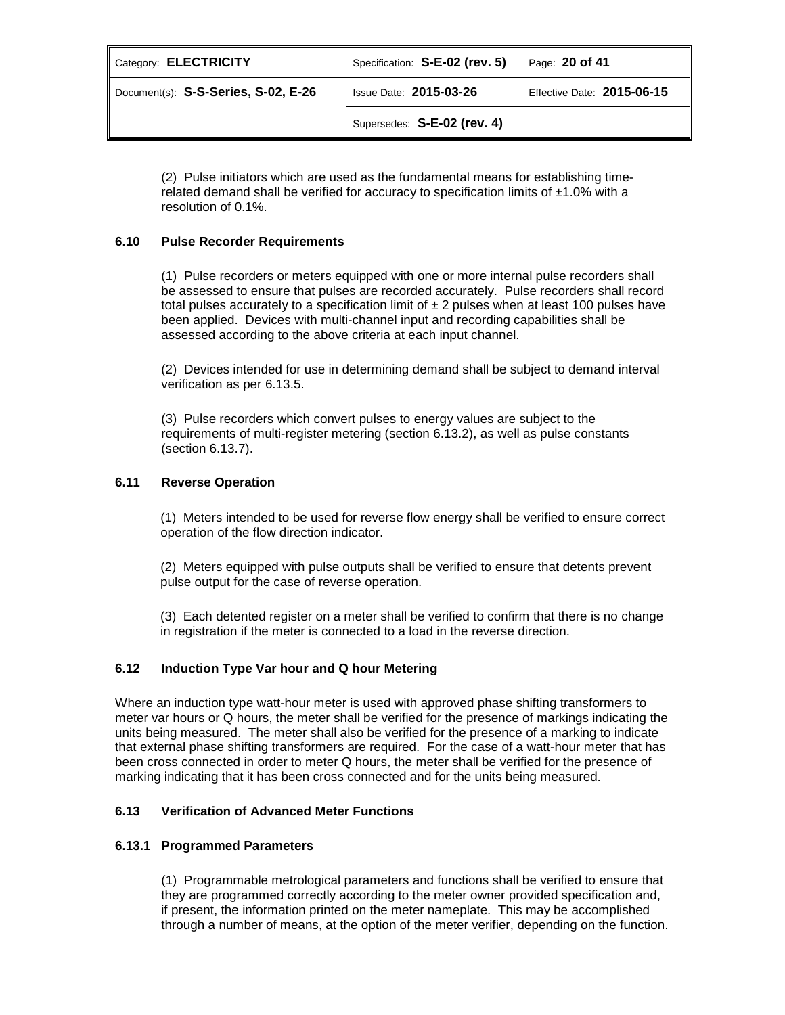| Category: ELECTRICITY               | Specification: S-E-02 (rev. 5) | Page: 20 of 41             |
|-------------------------------------|--------------------------------|----------------------------|
| Document(s): S-S-Series, S-02, E-26 | <b>Issue Date: 2015-03-26</b>  | Effective Date: 2015-06-15 |
|                                     | Supersedes: S-E-02 (rev. 4)    |                            |

(2) Pulse initiators which are used as the fundamental means for establishing timerelated demand shall be verified for accuracy to specification limits of  $±1.0\%$  with a resolution of 0.1%.

# **6.10 Pulse Recorder Requirements**

(1) Pulse recorders or meters equipped with one or more internal pulse recorders shall be assessed to ensure that pulses are recorded accurately. Pulse recorders shall record total pulses accurately to a specification limit of  $\pm 2$  pulses when at least 100 pulses have been applied. Devices with multi-channel input and recording capabilities shall be assessed according to the above criteria at each input channel.

(2) Devices intended for use in determining demand shall be subject to demand interval verification as per 6.13.5.

(3) Pulse recorders which convert pulses to energy values are subject to the requirements of multi-register metering (section 6.13.2), as well as pulse constants (section 6.13.7).

## **6.11 Reverse Operation**

(1) Meters intended to be used for reverse flow energy shall be verified to ensure correct operation of the flow direction indicator.

(2) Meters equipped with pulse outputs shall be verified to ensure that detents prevent pulse output for the case of reverse operation.

(3) Each detented register on a meter shall be verified to confirm that there is no change in registration if the meter is connected to a load in the reverse direction.

## **6.12 Induction Type Var hour and Q hour Metering**

Where an induction type watt-hour meter is used with approved phase shifting transformers to meter var hours or Q hours, the meter shall be verified for the presence of markings indicating the units being measured. The meter shall also be verified for the presence of a marking to indicate that external phase shifting transformers are required. For the case of a watt-hour meter that has been cross connected in order to meter Q hours, the meter shall be verified for the presence of marking indicating that it has been cross connected and for the units being measured.

## **6.13 Verification of Advanced Meter Functions**

## **6.13.1 Programmed Parameters**

(1) Programmable metrological parameters and functions shall be verified to ensure that they are programmed correctly according to the meter owner provided specification and, if present, the information printed on the meter nameplate. This may be accomplished through a number of means, at the option of the meter verifier, depending on the function.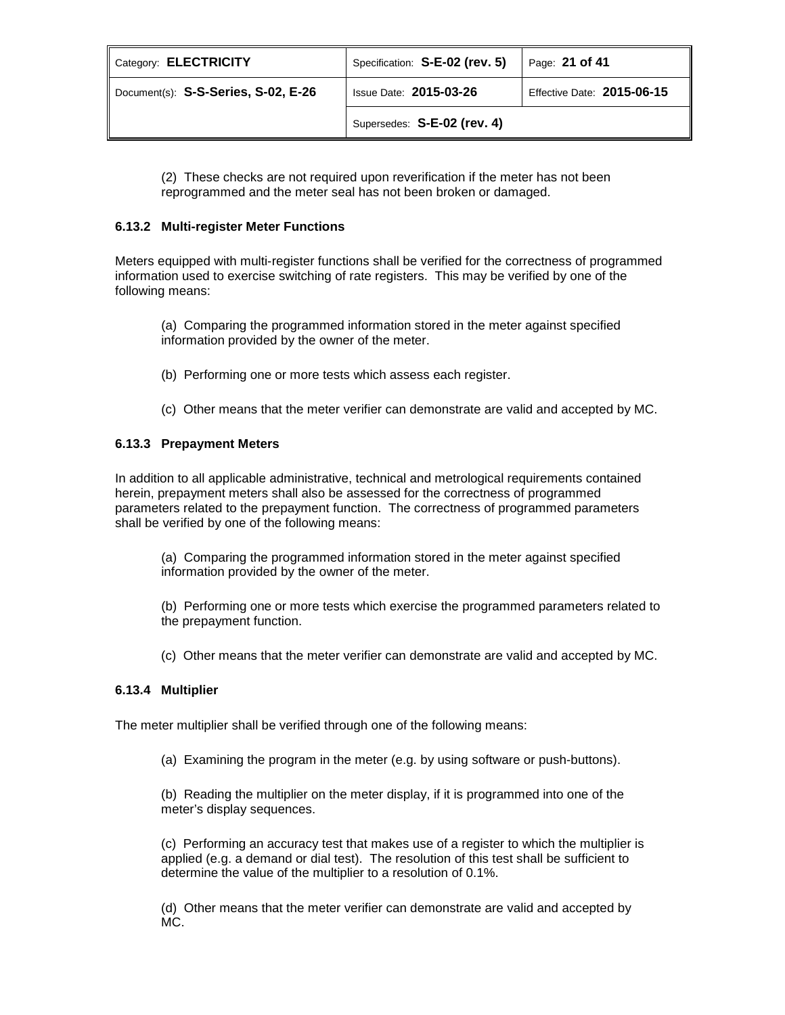| Category: ELECTRICITY               | Specification: S-E-02 (rev. 5) | Page: 21 of 41             |
|-------------------------------------|--------------------------------|----------------------------|
| Document(s): S-S-Series, S-02, E-26 | <b>Issue Date: 2015-03-26</b>  | Effective Date: 2015-06-15 |
|                                     | Supersedes: S-E-02 (rev. 4)    |                            |

(2) These checks are not required upon reverification if the meter has not been reprogrammed and the meter seal has not been broken or damaged.

## **6.13.2 Multi-register Meter Functions**

Meters equipped with multi-register functions shall be verified for the correctness of programmed information used to exercise switching of rate registers. This may be verified by one of the following means:

(a) Comparing the programmed information stored in the meter against specified information provided by the owner of the meter.

- (b) Performing one or more tests which assess each register.
- (c) Other means that the meter verifier can demonstrate are valid and accepted by MC.

## **6.13.3 Prepayment Meters**

In addition to all applicable administrative, technical and metrological requirements contained herein, prepayment meters shall also be assessed for the correctness of programmed parameters related to the prepayment function. The correctness of programmed parameters shall be verified by one of the following means:

(a) Comparing the programmed information stored in the meter against specified information provided by the owner of the meter.

(b) Performing one or more tests which exercise the programmed parameters related to the prepayment function.

(c) Other means that the meter verifier can demonstrate are valid and accepted by MC.

## **6.13.4 Multiplier**

The meter multiplier shall be verified through one of the following means:

(a) Examining the program in the meter (e.g. by using software or push-buttons).

(b) Reading the multiplier on the meter display, if it is programmed into one of the meter's display sequences.

(c) Performing an accuracy test that makes use of a register to which the multiplier is applied (e.g. a demand or dial test). The resolution of this test shall be sufficient to determine the value of the multiplier to a resolution of 0.1%.

(d) Other means that the meter verifier can demonstrate are valid and accepted by MC.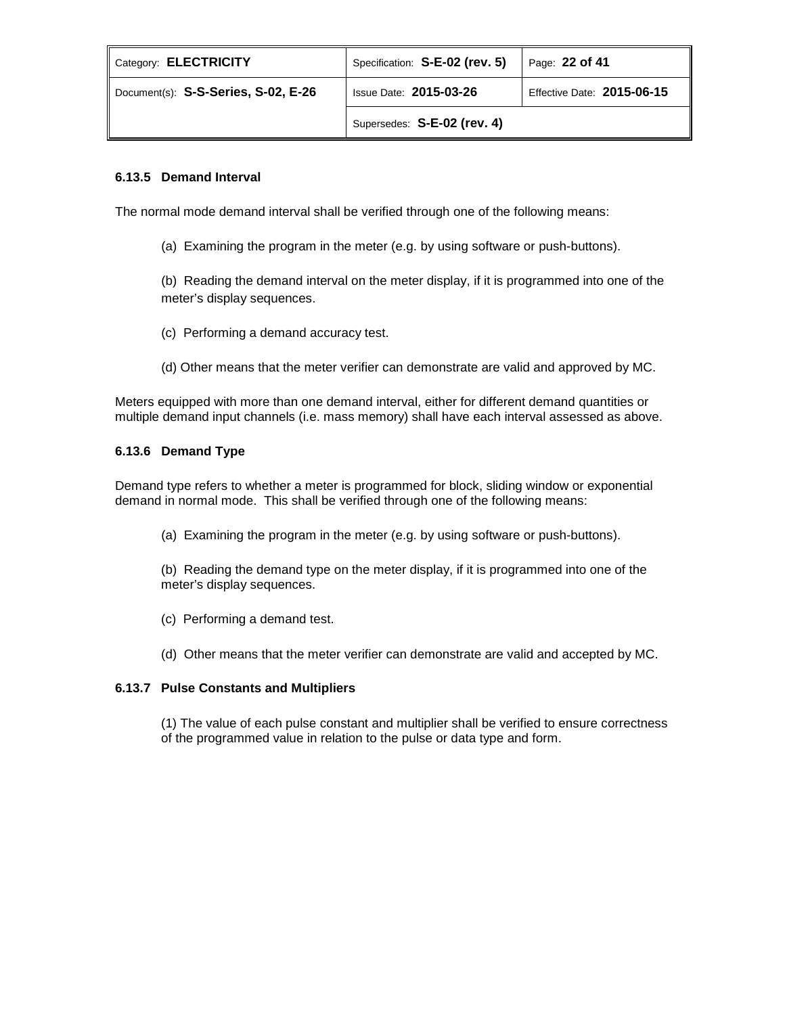| Category: <b>ELECTRICITY</b>        | Specification: S-E-02 (rev. 5) | Page: 22 of 41             |
|-------------------------------------|--------------------------------|----------------------------|
| Document(s): S-S-Series, S-02, E-26 | <b>Issue Date: 2015-03-26</b>  | Effective Date: 2015-06-15 |
|                                     | Supersedes: S-E-02 (rev. 4)    |                            |

# **6.13.5 Demand Interval**

The normal mode demand interval shall be verified through one of the following means:

(a) Examining the program in the meter (e.g. by using software or push-buttons).

(b) Reading the demand interval on the meter display, if it is programmed into one of the meter's display sequences.

- (c) Performing a demand accuracy test.
- (d) Other means that the meter verifier can demonstrate are valid and approved by MC.

Meters equipped with more than one demand interval, either for different demand quantities or multiple demand input channels (i.e. mass memory) shall have each interval assessed as above.

# **6.13.6 Demand Type**

Demand type refers to whether a meter is programmed for block, sliding window or exponential demand in normal mode. This shall be verified through one of the following means:

- (a) Examining the program in the meter (e.g. by using software or push-buttons).
- (b) Reading the demand type on the meter display, if it is programmed into one of the meter's display sequences.
- (c) Performing a demand test.
- (d) Other means that the meter verifier can demonstrate are valid and accepted by MC.

## **6.13.7 Pulse Constants and Multipliers**

(1) The value of each pulse constant and multiplier shall be verified to ensure correctness of the programmed value in relation to the pulse or data type and form.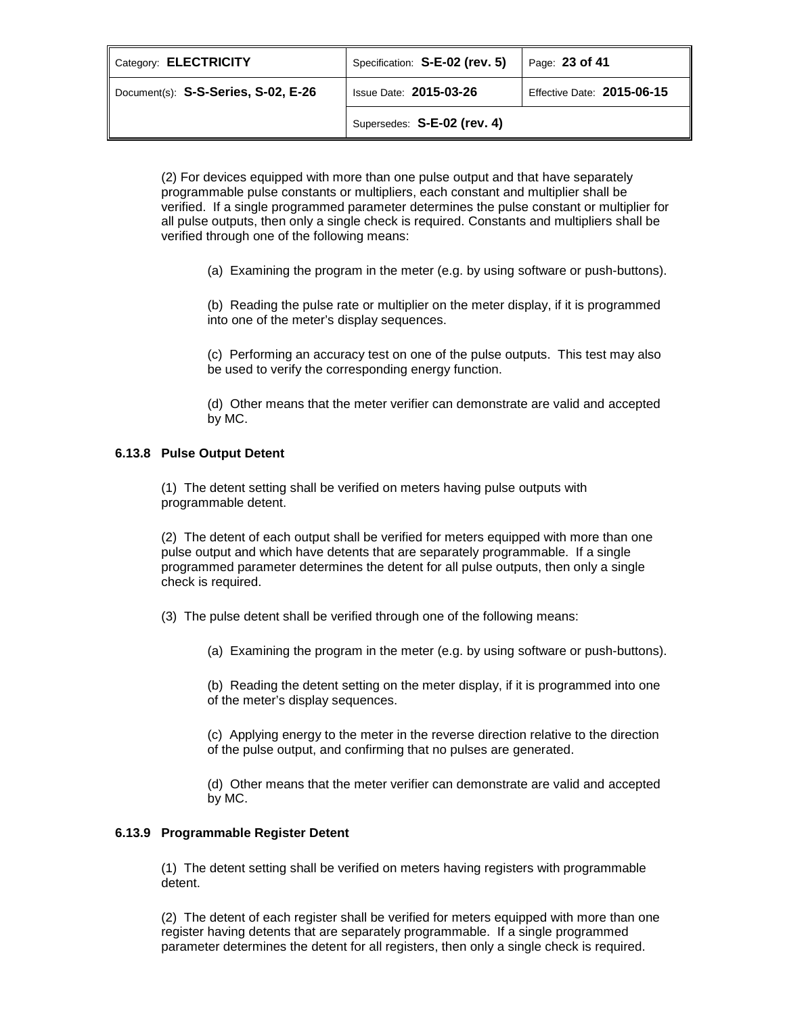| Category: ELECTRICITY               | Specification: S-E-02 (rev. 5) | Page: 23 of 41             |
|-------------------------------------|--------------------------------|----------------------------|
| Document(s): S-S-Series, S-02, E-26 | <b>Issue Date: 2015-03-26</b>  | Effective Date: 2015-06-15 |
|                                     | Supersedes: S-E-02 (rev. 4)    |                            |

(2) For devices equipped with more than one pulse output and that have separately programmable pulse constants or multipliers, each constant and multiplier shall be verified. If a single programmed parameter determines the pulse constant or multiplier for all pulse outputs, then only a single check is required. Constants and multipliers shall be verified through one of the following means:

(a) Examining the program in the meter (e.g. by using software or push-buttons).

(b) Reading the pulse rate or multiplier on the meter display, if it is programmed into one of the meter's display sequences.

(c) Performing an accuracy test on one of the pulse outputs. This test may also be used to verify the corresponding energy function.

(d) Other means that the meter verifier can demonstrate are valid and accepted by MC.

## **6.13.8 Pulse Output Detent**

(1) The detent setting shall be verified on meters having pulse outputs with programmable detent.

(2) The detent of each output shall be verified for meters equipped with more than one pulse output and which have detents that are separately programmable. If a single programmed parameter determines the detent for all pulse outputs, then only a single check is required.

(3) The pulse detent shall be verified through one of the following means:

(a) Examining the program in the meter (e.g. by using software or push-buttons).

(b) Reading the detent setting on the meter display, if it is programmed into one of the meter's display sequences.

(c) Applying energy to the meter in the reverse direction relative to the direction of the pulse output, and confirming that no pulses are generated.

(d) Other means that the meter verifier can demonstrate are valid and accepted by MC.

## **6.13.9 Programmable Register Detent**

(1) The detent setting shall be verified on meters having registers with programmable detent.

(2) The detent of each register shall be verified for meters equipped with more than one register having detents that are separately programmable. If a single programmed parameter determines the detent for all registers, then only a single check is required.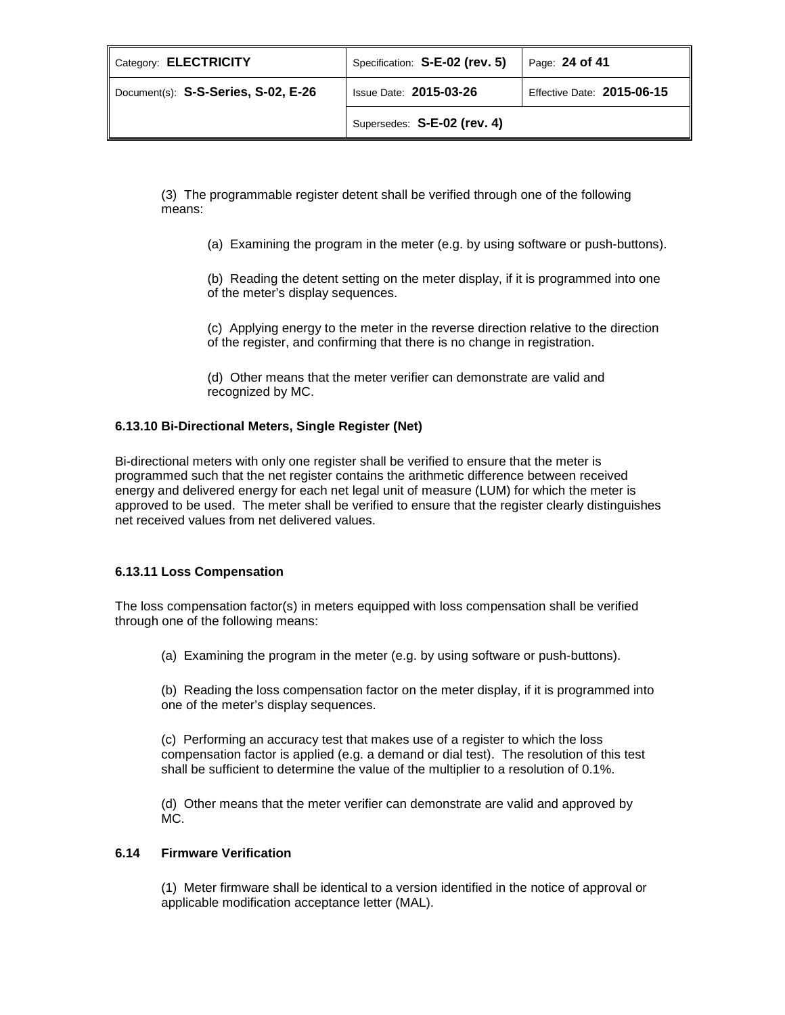| Category: ELECTRICITY               | Specification: S-E-02 (rev. 5) | Page: 24 of 41             |
|-------------------------------------|--------------------------------|----------------------------|
| Document(s): S-S-Series, S-02, E-26 | <b>Issue Date: 2015-03-26</b>  | Effective Date: 2015-06-15 |
|                                     | Supersedes: S-E-02 (rev. 4)    |                            |

(3) The programmable register detent shall be verified through one of the following means:

(a) Examining the program in the meter (e.g. by using software or push-buttons).

(b) Reading the detent setting on the meter display, if it is programmed into one of the meter's display sequences.

(c) Applying energy to the meter in the reverse direction relative to the direction of the register, and confirming that there is no change in registration.

(d) Other means that the meter verifier can demonstrate are valid and recognized by MC.

# **6.13.10 Bi-Directional Meters, Single Register (Net)**

Bi-directional meters with only one register shall be verified to ensure that the meter is programmed such that the net register contains the arithmetic difference between received energy and delivered energy for each net legal unit of measure (LUM) for which the meter is approved to be used. The meter shall be verified to ensure that the register clearly distinguishes net received values from net delivered values.

## **6.13.11 Loss Compensation**

The loss compensation factor(s) in meters equipped with loss compensation shall be verified through one of the following means:

(a) Examining the program in the meter (e.g. by using software or push-buttons).

(b) Reading the loss compensation factor on the meter display, if it is programmed into one of the meter's display sequences.

(c) Performing an accuracy test that makes use of a register to which the loss compensation factor is applied (e.g. a demand or dial test). The resolution of this test shall be sufficient to determine the value of the multiplier to a resolution of 0.1%.

(d) Other means that the meter verifier can demonstrate are valid and approved by MC.

## **6.14 Firmware Verification**

(1) Meter firmware shall be identical to a version identified in the notice of approval or applicable modification acceptance letter (MAL).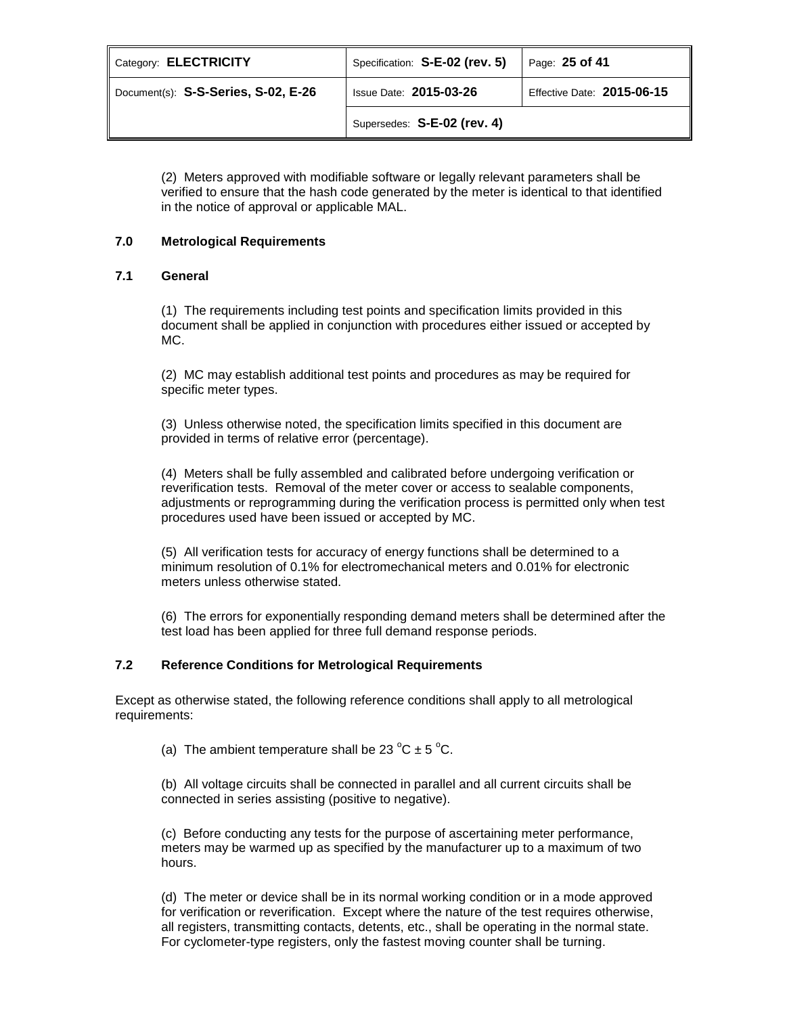| Category: <b>ELECTRICITY</b>        | Specification: S-E-02 (rev. 5) | Page: 25 of 41             |
|-------------------------------------|--------------------------------|----------------------------|
| Document(s): S-S-Series, S-02, E-26 | <b>Issue Date: 2015-03-26</b>  | Effective Date: 2015-06-15 |
|                                     | Supersedes: S-E-02 (rev. 4)    |                            |

(2) Meters approved with modifiable software or legally relevant parameters shall be verified to ensure that the hash code generated by the meter is identical to that identified in the notice of approval or applicable MAL.

## **7.0 Metrological Requirements**

## **7.1 General**

(1) The requirements including test points and specification limits provided in this document shall be applied in conjunction with procedures either issued or accepted by MC.

(2) MC may establish additional test points and procedures as may be required for specific meter types.

(3) Unless otherwise noted, the specification limits specified in this document are provided in terms of relative error (percentage).

(4) Meters shall be fully assembled and calibrated before undergoing verification or reverification tests. Removal of the meter cover or access to sealable components, adjustments or reprogramming during the verification process is permitted only when test procedures used have been issued or accepted by MC.

(5) All verification tests for accuracy of energy functions shall be determined to a minimum resolution of 0.1% for electromechanical meters and 0.01% for electronic meters unless otherwise stated.

(6) The errors for exponentially responding demand meters shall be determined after the test load has been applied for three full demand response periods.

# **7.2 Reference Conditions for Metrological Requirements**

Except as otherwise stated, the following reference conditions shall apply to all metrological requirements:

(a) The ambient temperature shall be 23  $^{\circ}$ C  $\pm$  5  $^{\circ}$ C.

(b) All voltage circuits shall be connected in parallel and all current circuits shall be connected in series assisting (positive to negative).

(c) Before conducting any tests for the purpose of ascertaining meter performance, meters may be warmed up as specified by the manufacturer up to a maximum of two hours.

(d) The meter or device shall be in its normal working condition or in a mode approved for verification or reverification. Except where the nature of the test requires otherwise, all registers, transmitting contacts, detents, etc., shall be operating in the normal state. For cyclometer-type registers, only the fastest moving counter shall be turning.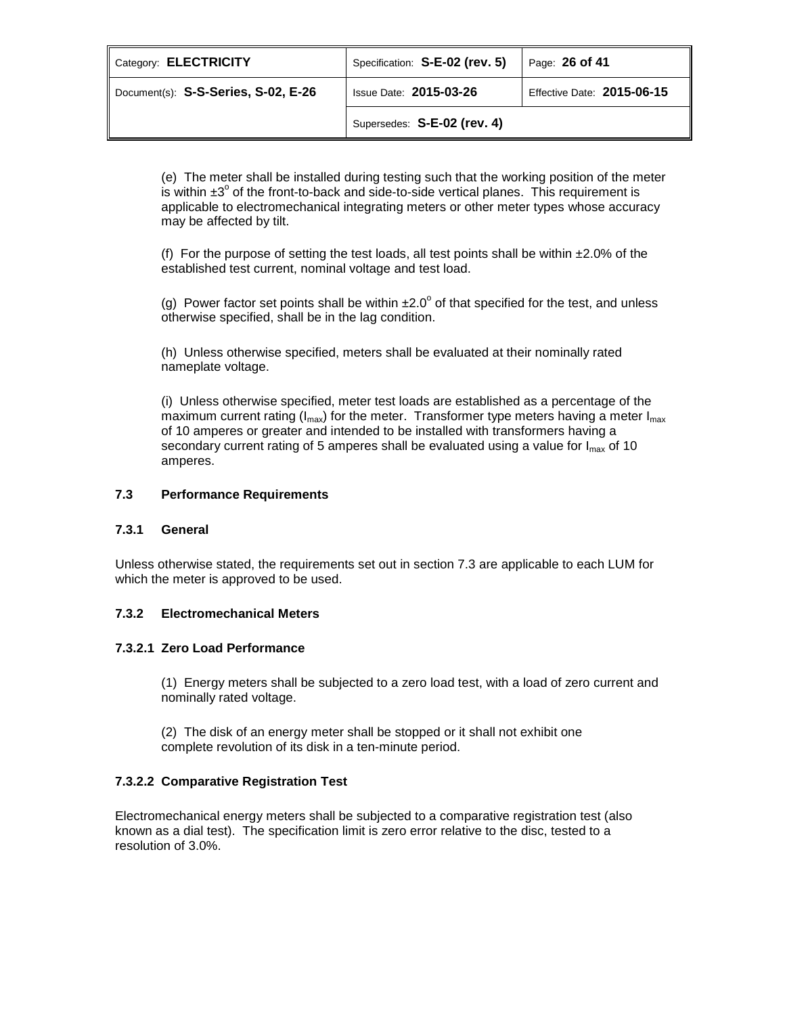| Category: <b>ELECTRICITY</b>        | Specification: S-E-02 (rev. 5) | Page: 26 of 41             |
|-------------------------------------|--------------------------------|----------------------------|
| Document(s): S-S-Series, S-02, E-26 | <b>Issue Date: 2015-03-26</b>  | Effective Date: 2015-06-15 |
|                                     | Supersedes: S-E-02 (rev. 4)    |                            |

(e) The meter shall be installed during testing such that the working position of the meter is within  $\pm 3^\circ$  of the front-to-back and side-to-side vertical planes. This requirement is applicable to electromechanical integrating meters or other meter types whose accuracy may be affected by tilt.

(f) For the purpose of setting the test loads, all test points shall be within  $\pm 2.0\%$  of the established test current, nominal voltage and test load.

(g) Power factor set points shall be within  $\pm 2.0^\circ$  of that specified for the test, and unless otherwise specified, shall be in the lag condition.

(h) Unless otherwise specified, meters shall be evaluated at their nominally rated nameplate voltage.

(i) Unless otherwise specified, meter test loads are established as a percentage of the maximum current rating ( $I_{max}$ ) for the meter. Transformer type meters having a meter  $I_{max}$ of 10 amperes or greater and intended to be installed with transformers having a secondary current rating of 5 amperes shall be evaluated using a value for  $I_{\text{max}}$  of 10 amperes.

# **7.3 Performance Requirements**

## **7.3.1 General**

Unless otherwise stated, the requirements set out in section 7.3 are applicable to each LUM for which the meter is approved to be used.

## **7.3.2 Electromechanical Meters**

## **7.3.2.1 Zero Load Performance**

(1) Energy meters shall be subjected to a zero load test, with a load of zero current and nominally rated voltage.

(2) The disk of an energy meter shall be stopped or it shall not exhibit one complete revolution of its disk in a ten-minute period.

# **7.3.2.2 Comparative Registration Test**

Electromechanical energy meters shall be subjected to a comparative registration test (also known as a dial test). The specification limit is zero error relative to the disc, tested to a resolution of 3.0%.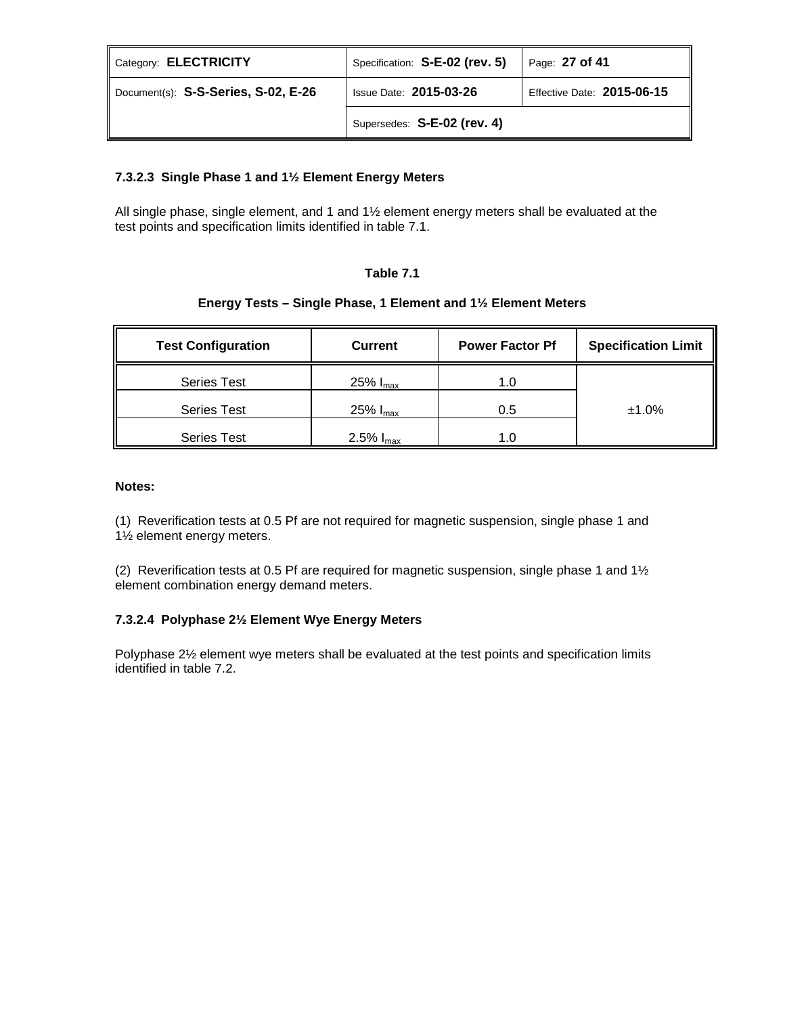| Category: ELECTRICITY               | Specification: S-E-02 (rev. 5) | Page: $27$ of 41           |
|-------------------------------------|--------------------------------|----------------------------|
| Document(s): S-S-Series, S-02, E-26 | <b>Issue Date: 2015-03-26</b>  | Effective Date: 2015-06-15 |
|                                     | Supersedes: S-E-02 (rev. 4)    |                            |

# **7.3.2.3 Single Phase 1 and 1½ Element Energy Meters**

All single phase, single element, and 1 and 1½ element energy meters shall be evaluated at the test points and specification limits identified in table 7.1.

## **Table 7.1**

# **Energy Tests – Single Phase, 1 Element and 1½ Element Meters**

| <b>Test Configuration</b> | <b>Current</b>        | <b>Power Factor Pf</b> | <b>Specification Limit</b> |
|---------------------------|-----------------------|------------------------|----------------------------|
| <b>Series Test</b>        | 25% $I_{\text{max}}$  | 1.0                    |                            |
| <b>Series Test</b>        | 25% $I_{\text{max}}$  | 0.5                    | $±1.0\%$                   |
| <b>Series Test</b>        | 2.5% $I_{\text{max}}$ |                        |                            |

## **Notes:**

(1) Reverification tests at 0.5 Pf are not required for magnetic suspension, single phase 1 and 1½ element energy meters.

(2) Reverification tests at 0.5 Pf are required for magnetic suspension, single phase 1 and 1½ element combination energy demand meters.

# **7.3.2.4 Polyphase 2½ Element Wye Energy Meters**

Polyphase 2½ element wye meters shall be evaluated at the test points and specification limits identified in table 7.2.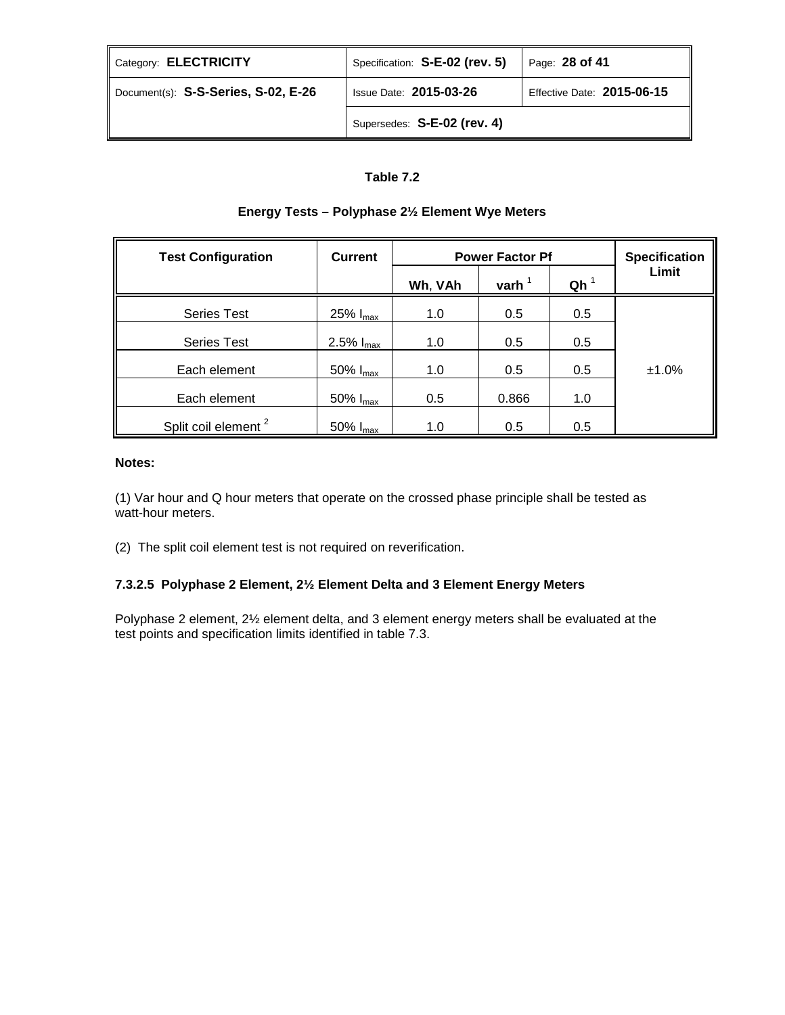| Category: <b>ELECTRICITY</b>        | Specification: S-E-02 (rev. 5) | Page: 28 of 41             |
|-------------------------------------|--------------------------------|----------------------------|
| Document(s): S-S-Series, S-02, E-26 | <b>Issue Date: 2015-03-26</b>  | Effective Date: 2015-06-15 |
|                                     | Supersedes: S-E-02 (rev. 4)    |                            |

# **Table 7.2**

| <b>Test Configuration</b>       | <b>Current</b>        |         | <b>Power Factor Pf</b> |                 | <b>Specification</b> |
|---------------------------------|-----------------------|---------|------------------------|-----------------|----------------------|
|                                 |                       | Wh, VAh | varh $1$               | Qh <sup>1</sup> | Limit                |
| <b>Series Test</b>              | 25% $I_{\text{max}}$  | 1.0     | 0.5                    | 0.5             |                      |
| <b>Series Test</b>              | 2.5% $I_{\text{max}}$ | 1.0     | 0.5                    | 0.5             |                      |
| Each element                    | 50% $I_{\text{max}}$  | 1.0     | 0.5                    | 0.5             | ±1.0%                |
| Each element                    | 50% $I_{\text{max}}$  | 0.5     | 0.866                  | 1.0             |                      |
| Split coil element <sup>2</sup> | 50% $I_{max}$         | 1.0     | 0.5                    | 0.5             |                      |

# **Energy Tests – Polyphase 2½ Element Wye Meters**

## **Notes:**

(1) Var hour and Q hour meters that operate on the crossed phase principle shall be tested as watt-hour meters.

(2) The split coil element test is not required on reverification.

# **7.3.2.5 Polyphase 2 Element, 2½ Element Delta and 3 Element Energy Meters**

Polyphase 2 element, 2½ element delta, and 3 element energy meters shall be evaluated at the test points and specification limits identified in table 7.3.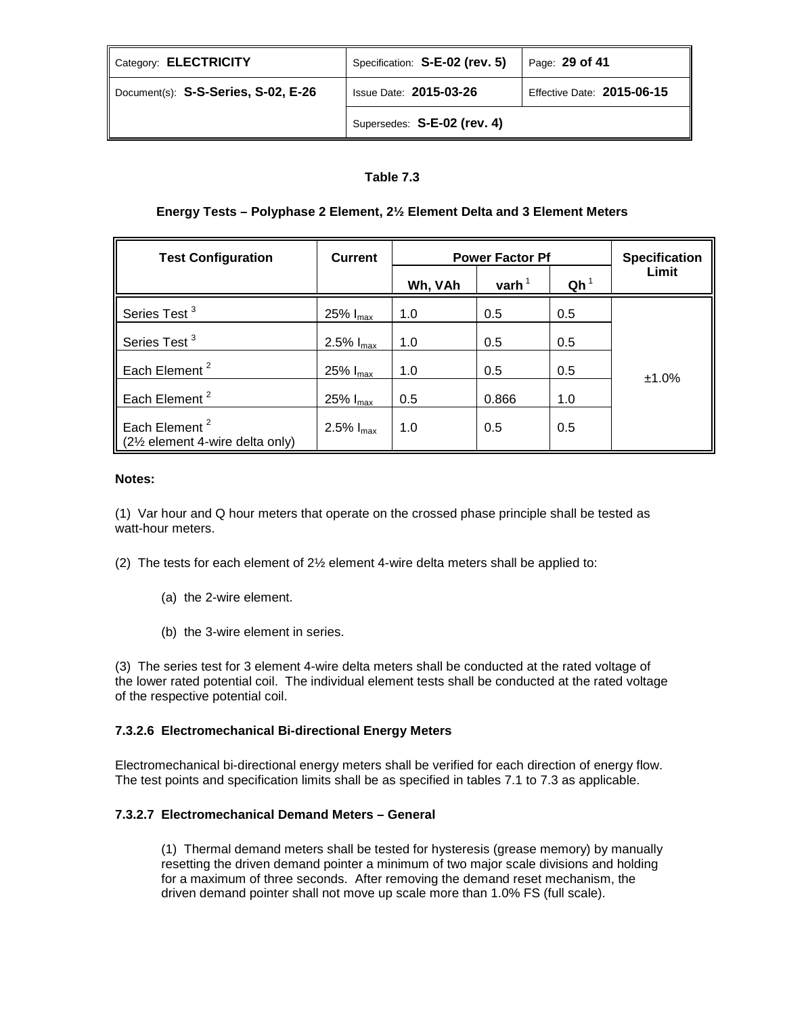| Category: ELECTRICITY               | Specification: S-E-02 (rev. 5) | Page: 29 of 41             |
|-------------------------------------|--------------------------------|----------------------------|
| Document(s): S-S-Series, S-02, E-26 | <b>Issue Date: 2015-03-26</b>  | Effective Date: 2015-06-15 |
|                                     | Supersedes: S-E-02 (rev. 4)    |                            |

# **Table 7.3**

# **Energy Tests – Polyphase 2 Element, 2½ Element Delta and 3 Element Meters**

| <b>Test Configuration</b>                                   | <b>Current</b>        | <b>Power Factor Pf</b> |          | <b>Specification</b> |       |
|-------------------------------------------------------------|-----------------------|------------------------|----------|----------------------|-------|
|                                                             |                       | Wh, VAh                | varh $1$ | $Qh^1$               | Limit |
| Series Test <sup>3</sup>                                    | 25% $I_{\text{max}}$  | 1.0                    | 0.5      | 0.5                  |       |
| Series Test <sup>3</sup>                                    | 2.5% $I_{max}$        | 1.0                    | 0.5      | 0.5                  |       |
| Each Element <sup>2</sup>                                   | 25% $I_{max}$         | 1.0                    | 0.5      | 0.5                  |       |
| Each Element <sup>2</sup>                                   | 25% $I_{\text{max}}$  | 0.5                    | 0.866    | 1.0                  | ±1.0% |
| Each Element <sup>2</sup><br>(2½ element 4-wire delta only) | 2.5% $I_{\text{max}}$ | 1.0                    | 0.5      | 0.5                  |       |

## **Notes:**

(1) Var hour and Q hour meters that operate on the crossed phase principle shall be tested as watt-hour meters.

- (2) The tests for each element of  $2\frac{1}{2}$  element 4-wire delta meters shall be applied to:
	- (a) the 2-wire element.
	- (b) the 3-wire element in series.

(3) The series test for 3 element 4-wire delta meters shall be conducted at the rated voltage of the lower rated potential coil. The individual element tests shall be conducted at the rated voltage of the respective potential coil.

# **7.3.2.6 Electromechanical Bi-directional Energy Meters**

Electromechanical bi-directional energy meters shall be verified for each direction of energy flow. The test points and specification limits shall be as specified in tables 7.1 to 7.3 as applicable.

## **7.3.2.7 Electromechanical Demand Meters – General**

(1) Thermal demand meters shall be tested for hysteresis (grease memory) by manually resetting the driven demand pointer a minimum of two major scale divisions and holding for a maximum of three seconds. After removing the demand reset mechanism, the driven demand pointer shall not move up scale more than 1.0% FS (full scale).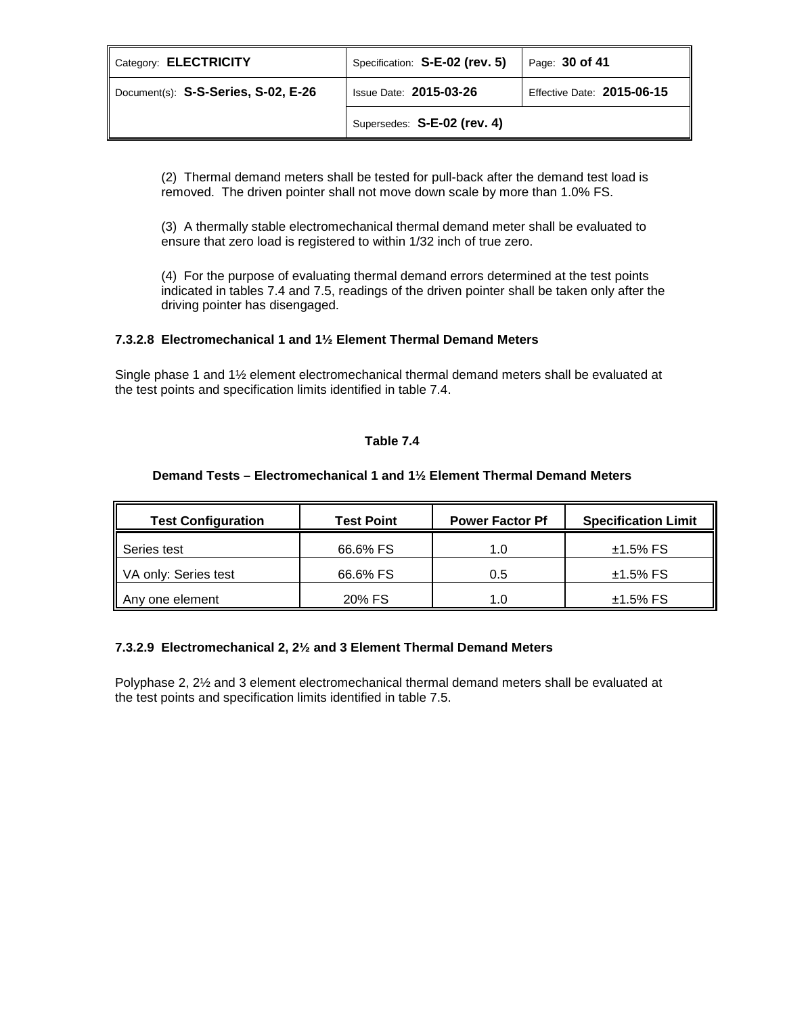| Category: ELECTRICITY               | Specification: S-E-02 (rev. 5) | Page: 30 of 41             |
|-------------------------------------|--------------------------------|----------------------------|
| Document(s): S-S-Series, S-02, E-26 | <b>Issue Date: 2015-03-26</b>  | Effective Date: 2015-06-15 |
|                                     | Supersedes: S-E-02 (rev. 4)    |                            |

(2) Thermal demand meters shall be tested for pull-back after the demand test load is removed. The driven pointer shall not move down scale by more than 1.0% FS.

(3) A thermally stable electromechanical thermal demand meter shall be evaluated to ensure that zero load is registered to within 1/32 inch of true zero.

(4) For the purpose of evaluating thermal demand errors determined at the test points indicated in tables 7.4 and 7.5, readings of the driven pointer shall be taken only after the driving pointer has disengaged.

## **7.3.2.8 Electromechanical 1 and 1½ Element Thermal Demand Meters**

Single phase 1 and 1½ element electromechanical thermal demand meters shall be evaluated at the test points and specification limits identified in table 7.4.

# **Table 7.4**

# **Demand Tests – Electromechanical 1 and 1½ Element Thermal Demand Meters**

| <b>Test Configuration</b> | <b>Test Point</b> | <b>Power Factor Pf</b> | <b>Specification Limit</b> |
|---------------------------|-------------------|------------------------|----------------------------|
| Series test               | 66.6% FS          | 1.0                    | $±1.5\%$ FS                |
| VA only: Series test      | 66.6% FS          | 0.5                    | $±1.5\%$ FS                |
| Any one element           | 20% FS            | 1.0                    | $±1.5\%$ FS                |

# **7.3.2.9 Electromechanical 2, 2½ and 3 Element Thermal Demand Meters**

Polyphase 2, 2½ and 3 element electromechanical thermal demand meters shall be evaluated at the test points and specification limits identified in table 7.5.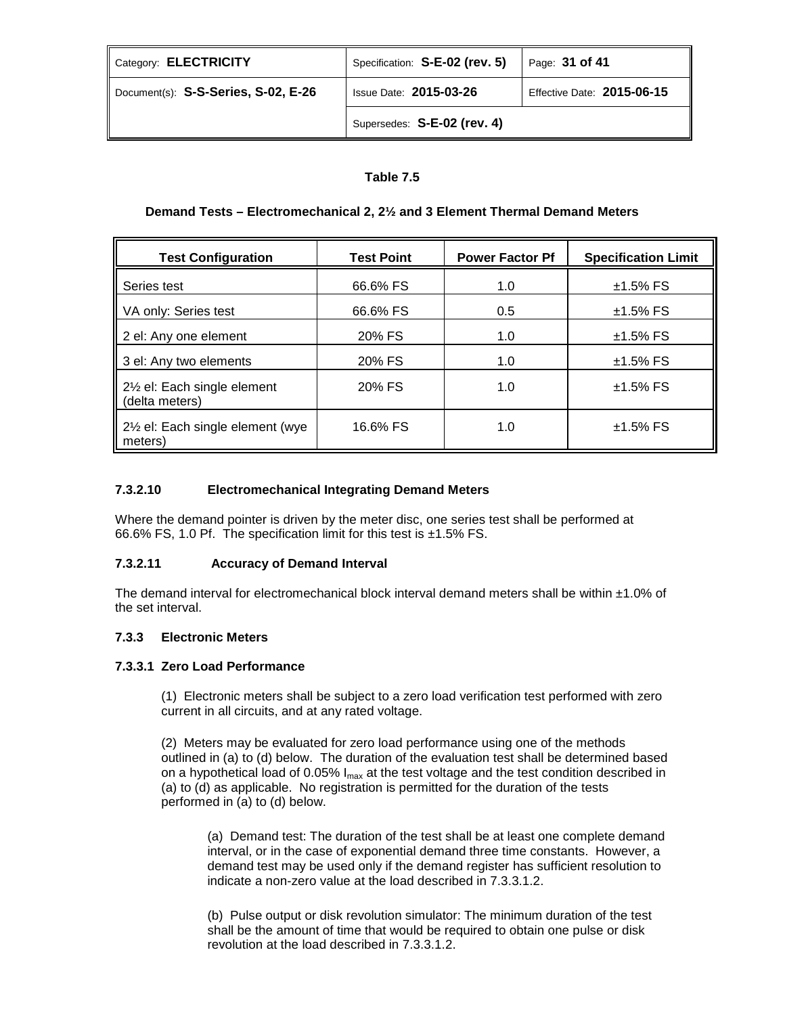| Category: ELECTRICITY               | Specification: S-E-02 (rev. 5) | Page: 31 of 41             |
|-------------------------------------|--------------------------------|----------------------------|
| Document(s): S-S-Series, S-02, E-26 | <b>Issue Date: 2015-03-26</b>  | Effective Date: 2015-06-15 |
|                                     | Supersedes: S-E-02 (rev. 4)    |                            |

# **Table 7.5**

# **Demand Tests – Electromechanical 2, 2½ and 3 Element Thermal Demand Meters**

| <b>Test Configuration</b>                    | <b>Test Point</b> | <b>Power Factor Pf</b> | <b>Specification Limit</b> |
|----------------------------------------------|-------------------|------------------------|----------------------------|
| Series test                                  | 66.6% FS          | 1.0                    | $±1.5\%$ FS                |
| VA only: Series test                         | 66.6% FS          | 0.5                    | $±1.5\%$ FS                |
| 2 el: Any one element                        | 20% FS            | 1.0                    | $±1.5\%$ FS                |
| 3 el: Any two elements                       | 20% FS            | 1.0                    | $±1.5\%$ FS                |
| 2½ el: Each single element<br>(delta meters) | 20% FS            | 1.0                    | $±1.5\%$ FS                |
| 21/2 el: Each single element (wye<br>meters) | 16.6% FS          | 1.0                    | $±1.5\%$ FS                |

## **7.3.2.10 Electromechanical Integrating Demand Meters**

Where the demand pointer is driven by the meter disc, one series test shall be performed at 66.6% FS, 1.0 Pf. The specification limit for this test is  $\pm$ 1.5% FS.

## **7.3.2.11 Accuracy of Demand Interval**

The demand interval for electromechanical block interval demand meters shall be within ±1.0% of the set interval.

## **7.3.3 Electronic Meters**

## **7.3.3.1 Zero Load Performance**

(1) Electronic meters shall be subject to a zero load verification test performed with zero current in all circuits, and at any rated voltage.

(2) Meters may be evaluated for zero load performance using one of the methods outlined in (a) to (d) below. The duration of the evaluation test shall be determined based on a hypothetical load of 0.05%  $I_{max}$  at the test voltage and the test condition described in (a) to (d) as applicable. No registration is permitted for the duration of the tests performed in (a) to (d) below.

(a) Demand test: The duration of the test shall be at least one complete demand interval, or in the case of exponential demand three time constants. However, a demand test may be used only if the demand register has sufficient resolution to indicate a non-zero value at the load described in 7.3.3.1.2.

(b) Pulse output or disk revolution simulator: The minimum duration of the test shall be the amount of time that would be required to obtain one pulse or disk revolution at the load described in 7.3.3.1.2.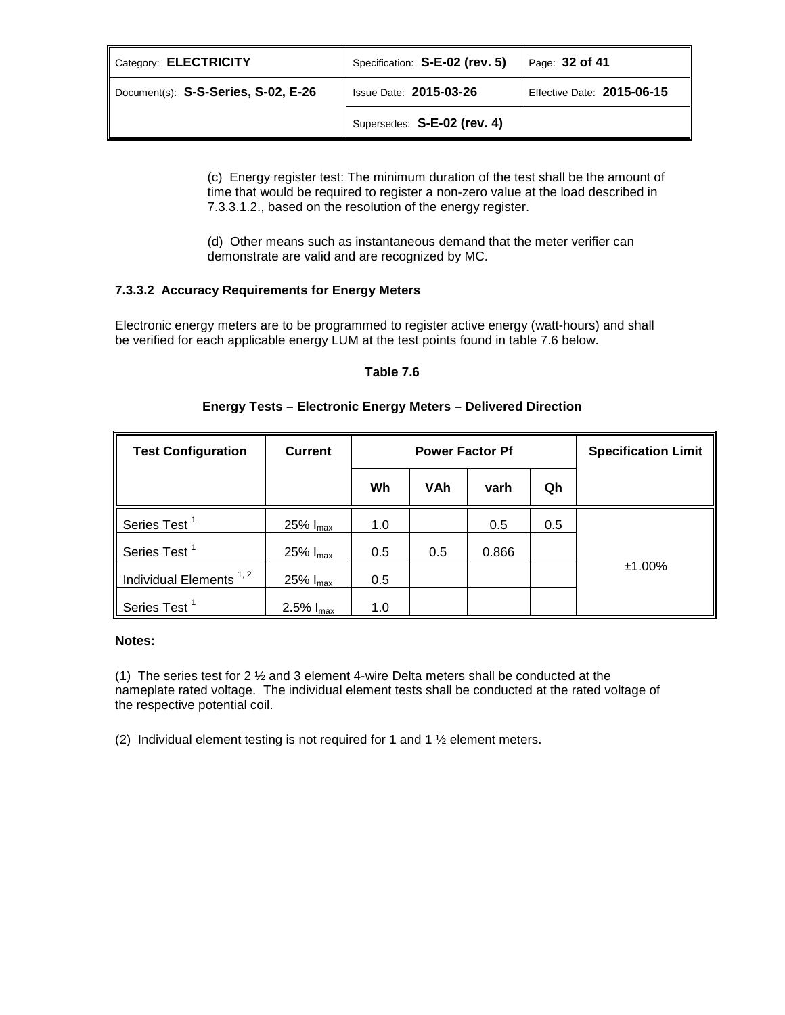| Category: <b>ELECTRICITY</b>        | Specification: S-E-02 (rev. 5) | Page: 32 of 41             |
|-------------------------------------|--------------------------------|----------------------------|
| Document(s): S-S-Series, S-02, E-26 | <b>Issue Date: 2015-03-26</b>  | Effective Date: 2015-06-15 |
|                                     | Supersedes: S-E-02 (rev. 4)    |                            |

(c) Energy register test: The minimum duration of the test shall be the amount of time that would be required to register a non-zero value at the load described in 7.3.3.1.2., based on the resolution of the energy register.

(d) Other means such as instantaneous demand that the meter verifier can demonstrate are valid and are recognized by MC.

# **7.3.3.2 Accuracy Requirements for Energy Meters**

Electronic energy meters are to be programmed to register active energy (watt-hours) and shall be verified for each applicable energy LUM at the test points found in table 7.6 below.

## **Table 7.6**

| <b>Test Configuration</b>          | <b>Current</b>        | <b>Power Factor Pf</b> |     |       | <b>Specification Limit</b> |           |
|------------------------------------|-----------------------|------------------------|-----|-------|----------------------------|-----------|
|                                    |                       | Wh                     | VAh | varh  | Qh                         |           |
| Series Test <sup>1</sup>           | 25% $I_{\text{max}}$  | 1.0                    |     | 0.5   | 0.5                        |           |
| Series Test <sup>1</sup>           | 25% $I_{\text{max}}$  | 0.5                    | 0.5 | 0.866 |                            |           |
| Individual Elements <sup>1,2</sup> | 25% $I_{\text{max}}$  | 0.5                    |     |       |                            | $±1.00\%$ |
| Series Test <sup>1</sup>           | 2.5% $I_{\text{max}}$ | 1.0                    |     |       |                            |           |

# **Energy Tests – Electronic Energy Meters – Delivered Direction**

## **Notes:**

(1) The series test for 2  $\frac{1}{2}$  and 3 element 4-wire Delta meters shall be conducted at the nameplate rated voltage. The individual element tests shall be conducted at the rated voltage of the respective potential coil.

(2) Individual element testing is not required for 1 and 1 ½ element meters.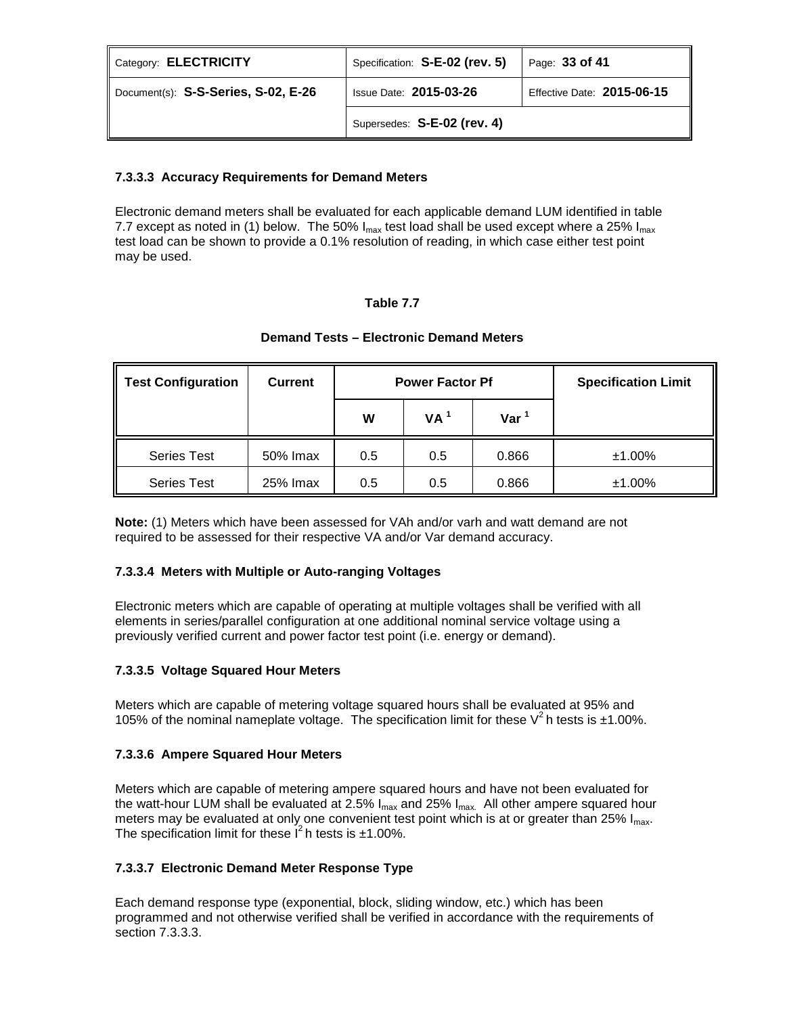| Category: <b>ELECTRICITY</b>        | Specification: S-E-02 (rev. 5) | Page: 33 of 41             |
|-------------------------------------|--------------------------------|----------------------------|
| Document(s): S-S-Series, S-02, E-26 | <b>Issue Date: 2015-03-26</b>  | Effective Date: 2015-06-15 |
|                                     | Supersedes: S-E-02 (rev. 4)    |                            |

# **7.3.3.3 Accuracy Requirements for Demand Meters**

Electronic demand meters shall be evaluated for each applicable demand LUM identified in table 7.7 except as noted in (1) below. The 50%  $I_{max}$  test load shall be used except where a 25%  $I_{max}$ test load can be shown to provide a 0.1% resolution of reading, in which case either test point may be used.

# **Table 7.7**

| Test Configuration | <b>Current</b> | <b>Power Factor Pf</b> |     |         | <b>Specification Limit</b> |
|--------------------|----------------|------------------------|-----|---------|----------------------------|
|                    |                | VA <sup>1</sup><br>W   |     | Var $1$ |                            |
| <b>Series Test</b> | 50% Imax       | 0.5                    | 0.5 | 0.866   | $±1.00\%$                  |
| <b>Series Test</b> | 25% Imax       | 0.5                    | 0.5 | 0.866   | $±1.00\%$                  |

## **Demand Tests – Electronic Demand Meters**

**Note:** (1) Meters which have been assessed for VAh and/or varh and watt demand are not required to be assessed for their respective VA and/or Var demand accuracy.

# **7.3.3.4 Meters with Multiple or Auto-ranging Voltages**

Electronic meters which are capable of operating at multiple voltages shall be verified with all elements in series/parallel configuration at one additional nominal service voltage using a previously verified current and power factor test point (i.e. energy or demand).

# **7.3.3.5 Voltage Squared Hour Meters**

Meters which are capable of metering voltage squared hours shall be evaluated at 95% and 105% of the nominal nameplate voltage. The specification limit for these  $V^2$  h tests is ±1.00%.

# **7.3.3.6 Ampere Squared Hour Meters**

Meters which are capable of metering ampere squared hours and have not been evaluated for the watt-hour LUM shall be evaluated at 2.5%  $I_{max}$  and 25%  $I_{max}$ . All other ampere squared hour meters may be evaluated at only one convenient test point which is at or greater than 25%  $I_{\text{max}}$ . The specification limit for these  $I^2$  h tests is  $\pm 1.00\%$ .

# **7.3.3.7 Electronic Demand Meter Response Type**

Each demand response type (exponential, block, sliding window, etc.) which has been programmed and not otherwise verified shall be verified in accordance with the requirements of section 7.3.3.3.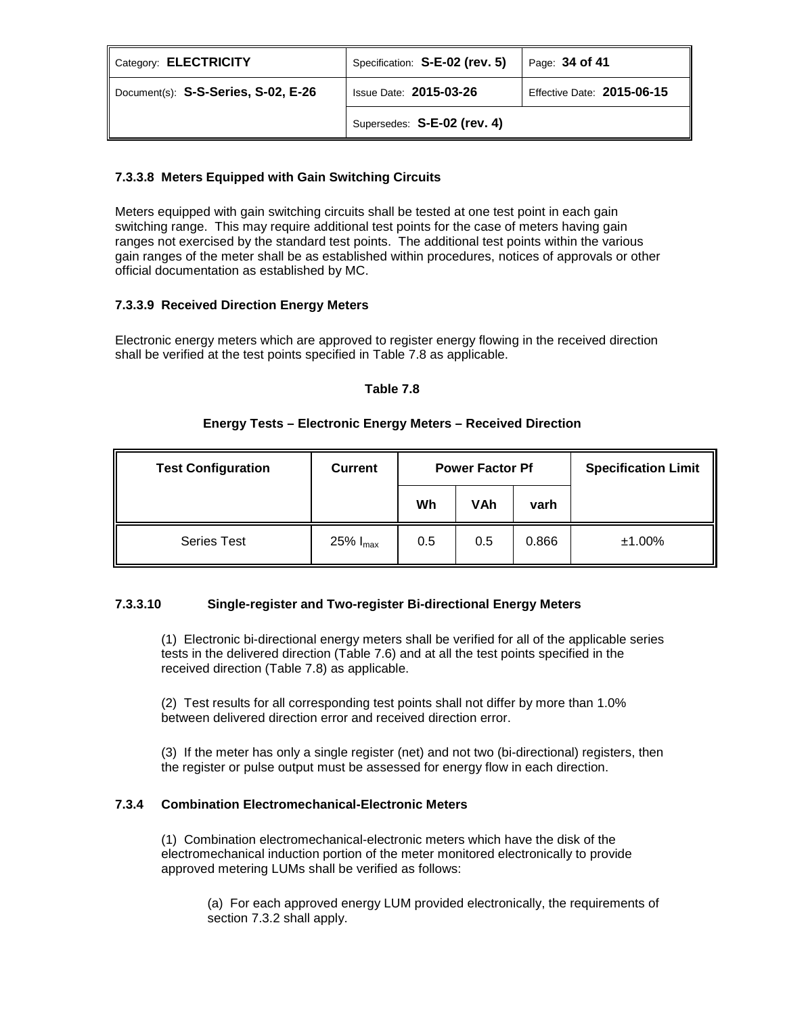| Category: ELECTRICITY               | Specification: S-E-02 (rev. 5) | Page: 34 of 41             |
|-------------------------------------|--------------------------------|----------------------------|
| Document(s): S-S-Series, S-02, E-26 | <b>Issue Date: 2015-03-26</b>  | Effective Date: 2015-06-15 |
|                                     | Supersedes: S-E-02 (rev. 4)    |                            |

# **7.3.3.8 Meters Equipped with Gain Switching Circuits**

Meters equipped with gain switching circuits shall be tested at one test point in each gain switching range. This may require additional test points for the case of meters having gain ranges not exercised by the standard test points. The additional test points within the various gain ranges of the meter shall be as established within procedures, notices of approvals or other official documentation as established by MC.

# **7.3.3.9 Received Direction Energy Meters**

Electronic energy meters which are approved to register energy flowing in the received direction shall be verified at the test points specified in Table 7.8 as applicable.

## **Table 7.8**

# **Energy Tests – Electronic Energy Meters – Received Direction**

| <b>Test Configuration</b> | <b>Current</b>       | <b>Power Factor Pf</b> |     | <b>Specification Limit</b> |           |
|---------------------------|----------------------|------------------------|-----|----------------------------|-----------|
|                           |                      | Wh                     | VAh | varh                       |           |
| <b>Series Test</b>        | 25% $I_{\text{max}}$ | 0.5                    | 0.5 | 0.866                      | $±1.00\%$ |

# **7.3.3.10 Single-register and Two-register Bi-directional Energy Meters**

(1) Electronic bi-directional energy meters shall be verified for all of the applicable series tests in the delivered direction (Table 7.6) and at all the test points specified in the received direction (Table 7.8) as applicable.

(2) Test results for all corresponding test points shall not differ by more than 1.0% between delivered direction error and received direction error.

(3) If the meter has only a single register (net) and not two (bi-directional) registers, then the register or pulse output must be assessed for energy flow in each direction.

# **7.3.4 Combination Electromechanical-Electronic Meters**

(1) Combination electromechanical-electronic meters which have the disk of the electromechanical induction portion of the meter monitored electronically to provide approved metering LUMs shall be verified as follows:

(a) For each approved energy LUM provided electronically, the requirements of section 7.3.2 shall apply.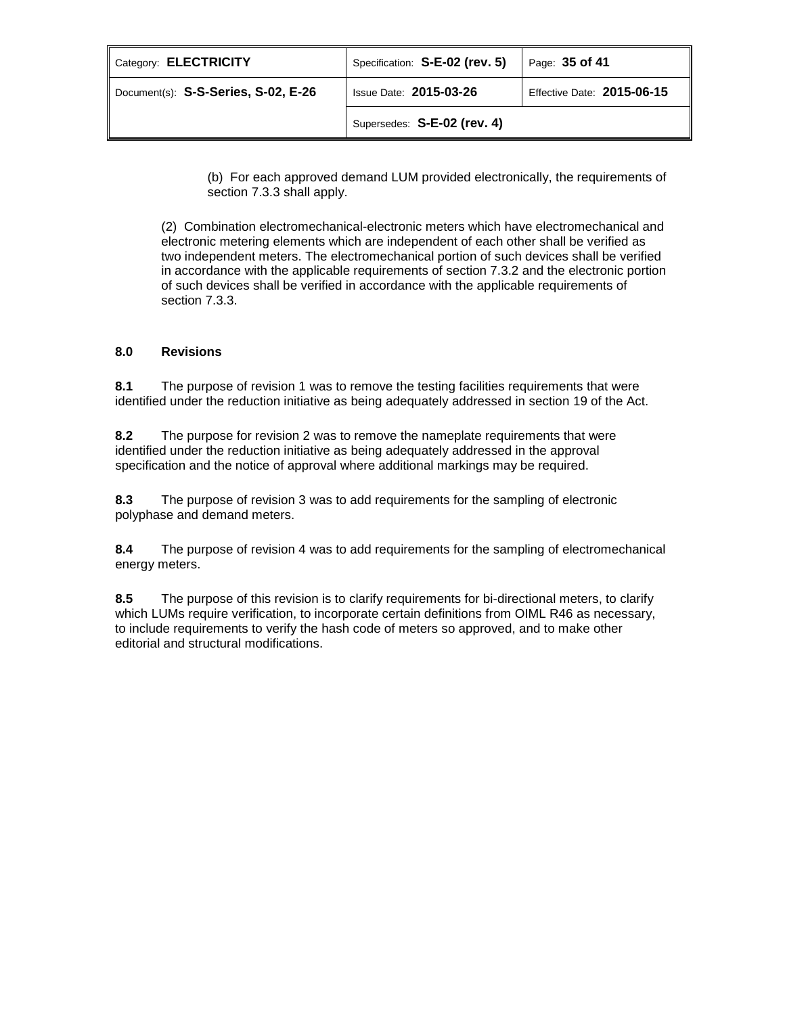| Category: <b>ELECTRICITY</b>        | Specification: S-E-02 (rev. 5) | Page: 35 of 41             |  |
|-------------------------------------|--------------------------------|----------------------------|--|
| Document(s): S-S-Series, S-02, E-26 | <b>Issue Date: 2015-03-26</b>  | Effective Date: 2015-06-15 |  |
|                                     | Supersedes: S-E-02 (rev. 4)    |                            |  |

(b) For each approved demand LUM provided electronically, the requirements of section 7.3.3 shall apply.

(2) Combination electromechanical-electronic meters which have electromechanical and electronic metering elements which are independent of each other shall be verified as two independent meters. The electromechanical portion of such devices shall be verified in accordance with the applicable requirements of section 7.3.2 and the electronic portion of such devices shall be verified in accordance with the applicable requirements of section 7.3.3.

# **8.0 Revisions**

**8.1** The purpose of revision 1 was to remove the testing facilities requirements that were identified under the reduction initiative as being adequately addressed in section 19 of the Act.

**8.2** The purpose for revision 2 was to remove the nameplate requirements that were identified under the reduction initiative as being adequately addressed in the approval specification and the notice of approval where additional markings may be required.

**8.3** The purpose of revision 3 was to add requirements for the sampling of electronic polyphase and demand meters.

**8.4** The purpose of revision 4 was to add requirements for the sampling of electromechanical energy meters.

**8.5** The purpose of this revision is to clarify requirements for bi-directional meters, to clarify which LUMs require verification, to incorporate certain definitions from OIML R46 as necessary, to include requirements to verify the hash code of meters so approved, and to make other editorial and structural modifications.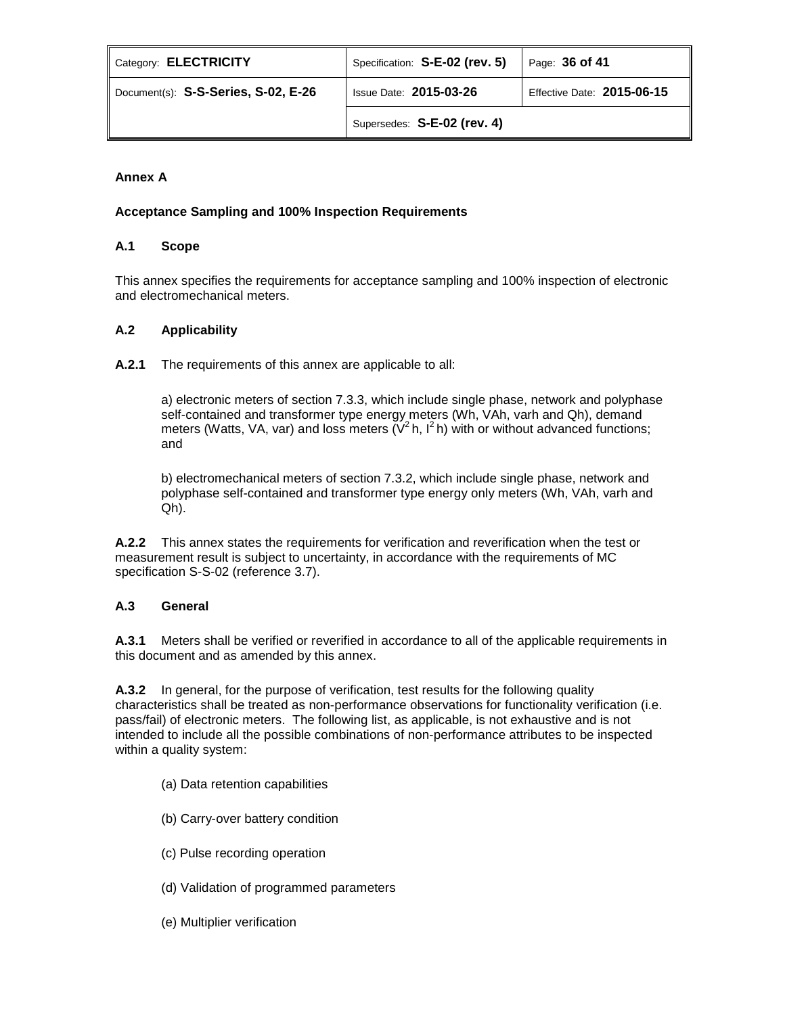| Category: ELECTRICITY               | Specification: S-E-02 (rev. 5) | Page: $36$ of 41           |  |
|-------------------------------------|--------------------------------|----------------------------|--|
| Document(s): S-S-Series, S-02, E-26 | <b>Issue Date: 2015-03-26</b>  | Effective Date: 2015-06-15 |  |
|                                     | Supersedes: S-E-02 (rev. 4)    |                            |  |

# **Annex A**

# **Acceptance Sampling and 100% Inspection Requirements**

## **A.1 Scope**

This annex specifies the requirements for acceptance sampling and 100% inspection of electronic and electromechanical meters.

## **A.2 Applicability**

**A.2.1** The requirements of this annex are applicable to all:

a) electronic meters of section 7.3.3, which include single phase, network and polyphase self-contained and transformer type energy meters (Wh, VAh, varh and Qh), demand meters (Watts, VA, var) and loss meters  $(V^2 h, I^2 h)$  with or without advanced functions; and

b) electromechanical meters of section 7.3.2, which include single phase, network and polyphase self-contained and transformer type energy only meters (Wh, VAh, varh and Qh).

**A.2.2** This annex states the requirements for verification and reverification when the test or measurement result is subject to uncertainty, in accordance with the requirements of MC specification S-S-02 (reference 3.7).

# **A.3 General**

**A.3.1** Meters shall be verified or reverified in accordance to all of the applicable requirements in this document and as amended by this annex.

**A.3.2** In general, for the purpose of verification, test results for the following quality characteristics shall be treated as non-performance observations for functionality verification (i.e. pass/fail) of electronic meters. The following list, as applicable, is not exhaustive and is not intended to include all the possible combinations of non-performance attributes to be inspected within a quality system:

- (a) Data retention capabilities
- (b) Carry-over battery condition
- (c) Pulse recording operation
- (d) Validation of programmed parameters
- (e) Multiplier verification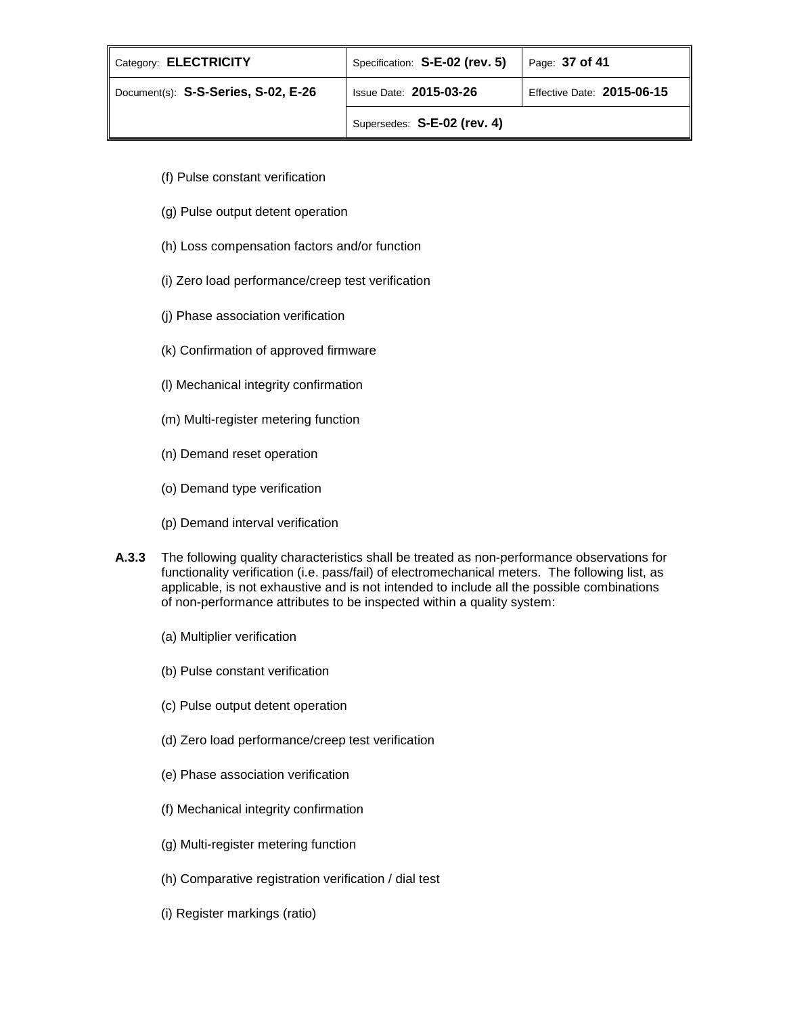| Category: ELECTRICITY               | Specification: S-E-02 (rev. 5) | Page: $37$ of 41           |
|-------------------------------------|--------------------------------|----------------------------|
| Document(s): S-S-Series, S-02, E-26 | <b>Issue Date: 2015-03-26</b>  | Effective Date: 2015-06-15 |
|                                     | Supersedes: S-E-02 (rev. 4)    |                            |

- (f) Pulse constant verification
- (g) Pulse output detent operation
- (h) Loss compensation factors and/or function
- (i) Zero load performance/creep test verification
- (j) Phase association verification
- (k) Confirmation of approved firmware
- (l) Mechanical integrity confirmation
- (m) Multi-register metering function
- (n) Demand reset operation
- (o) Demand type verification
- (p) Demand interval verification
- **A.3.3** The following quality characteristics shall be treated as non-performance observations for functionality verification (i.e. pass/fail) of electromechanical meters. The following list, as applicable, is not exhaustive and is not intended to include all the possible combinations of non-performance attributes to be inspected within a quality system:
	- (a) Multiplier verification
	- (b) Pulse constant verification
	- (c) Pulse output detent operation
	- (d) Zero load performance/creep test verification
	- (e) Phase association verification
	- (f) Mechanical integrity confirmation
	- (g) Multi-register metering function
	- (h) Comparative registration verification / dial test
	- (i) Register markings (ratio)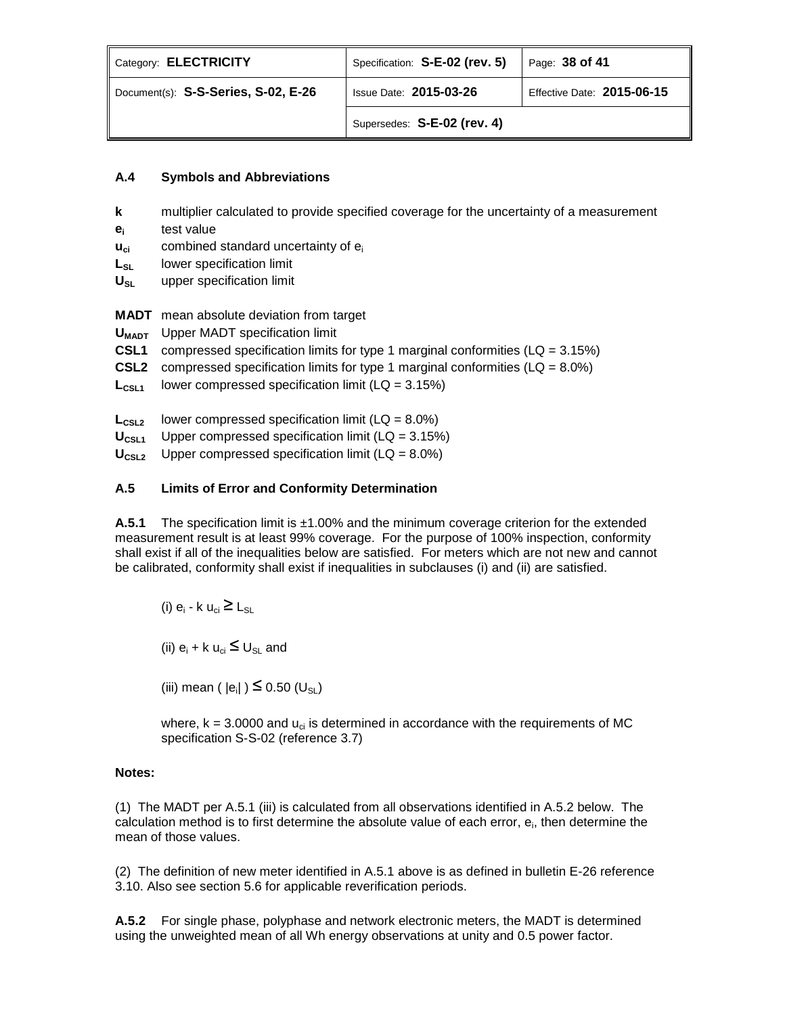| Category: ELECTRICITY               | Specification: S-E-02 (rev. 5) | Page: 38 of 41             |
|-------------------------------------|--------------------------------|----------------------------|
| Document(s): S-S-Series, S-02, E-26 | <b>Issue Date: 2015-03-26</b>  | Effective Date: 2015-06-15 |
|                                     | Supersedes: S-E-02 (rev. 4)    |                            |

# **A.4 Symbols and Abbreviations**

- **k** multiplier calculated to provide specified coverage for the uncertainty of a measurement
- **ei** test value
- **u<sub>ci</sub>** combined standard uncertainty of e<sub>i</sub>
- **L<sub>SL</sub>** lower specification limit
- U<sub>SL</sub> upper specification limit

**MADT** mean absolute deviation from target

- **UMADT** Upper MADT specification limit
- **CSL1** compressed specification limits for type 1 marginal conformities (LQ = 3.15%)
- **CSL2** compressed specification limits for type 1 marginal conformities  $(LA = 8.0\%)$
- $L_{\text{CSL1}}$  lower compressed specification limit (LQ = 3.15%)
- $L_{\text{CSL2}}$  lower compressed specification limit (LQ =  $8.0\%$ )
- U<sub>CSL1</sub> Upper compressed specification limit (LQ = 3.15%)
- **U**<sub>CSL2</sub> Upper compressed specification limit (LQ = 8.0%)

# **A.5 Limits of Error and Conformity Determination**

**A.5.1** The specification limit is ±1.00% and the minimum coverage criterion for the extended measurement result is at least 99% coverage. For the purpose of 100% inspection, conformity shall exist if all of the inequalities below are satisfied. For meters which are not new and cannot be calibrated, conformity shall exist if inequalities in subclauses (i) and (ii) are satisfied.

(i)  $e_i$  - k  $u_{ci} \ge L_{SI}$ 

(ii)  $e_i + k u_{ci} \leq U_{SL}$  and

(iii) mean ( $|e_i|$ )  $\leq$  0.50 (U<sub>SL</sub>)

where,  $k = 3.0000$  and  $u_{ci}$  is determined in accordance with the requirements of MC specification S-S-02 (reference 3.7)

# **Notes:**

(1)The MADT per A.5.1 (iii) is calculated from all observations identified in A.5.2 below. The calculation method is to first determine the absolute value of each error,  $e_i$ , then determine the mean of those values.

(2) The definition of new meter identified in A.5.1 above is as defined in bulletin E-26 reference 3.10. Also see section 5.6 for applicable reverification periods.

**A.5.2** For single phase, polyphase and network electronic meters, the MADT is determined using the unweighted mean of all Wh energy observations at unity and 0.5 power factor.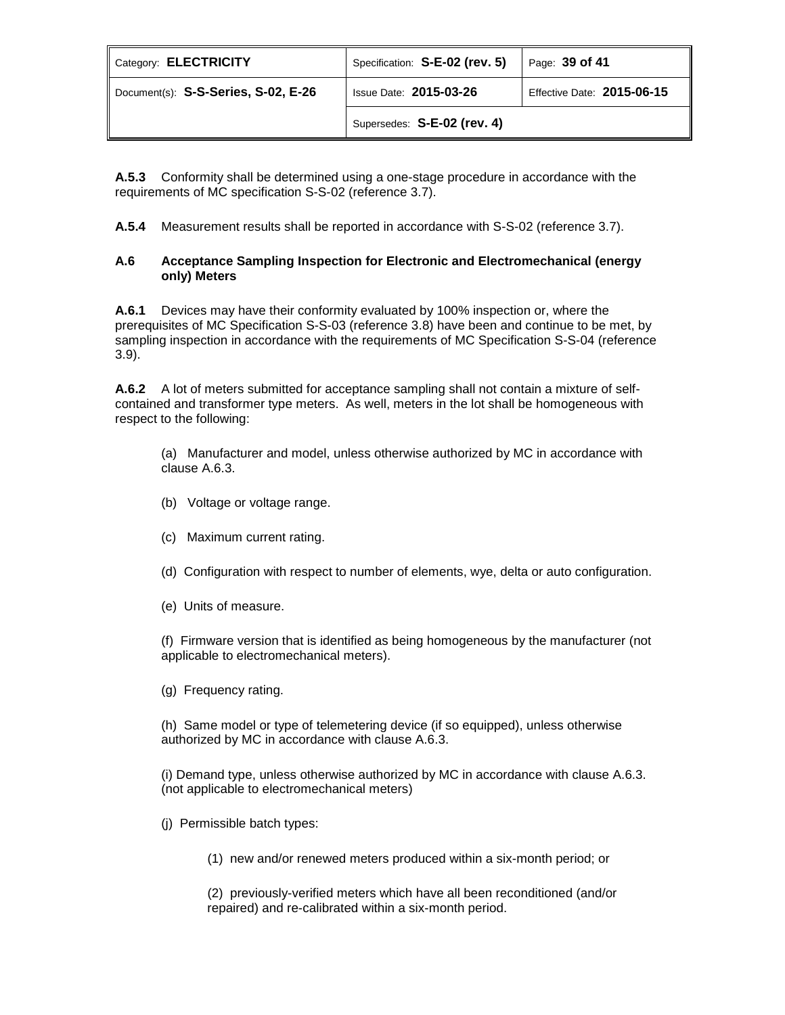| Category: ELECTRICITY               | Specification: S-E-02 (rev. 5) | Page: 39 of 41             |
|-------------------------------------|--------------------------------|----------------------------|
| Document(s): S-S-Series, S-02, E-26 | <b>Issue Date: 2015-03-26</b>  | Effective Date: 2015-06-15 |
|                                     | Supersedes: S-E-02 (rev. 4)    |                            |

**A.5.3** Conformity shall be determined using a one-stage procedure in accordance with the requirements of MC specification S-S-02 (reference 3.7).

**A.5.4** Measurement results shall be reported in accordance with S-S-02 (reference 3.7).

## **A.6 Acceptance Sampling Inspection for Electronic and Electromechanical (energy only) Meters**

**A.6.1** Devices may have their conformity evaluated by 100% inspection or, where the prerequisites of MC Specification S-S-03 (reference 3.8) have been and continue to be met, by sampling inspection in accordance with the requirements of MC Specification S-S-04 (reference 3.9).

**A.6.2** A lot of meters submitted for acceptance sampling shall not contain a mixture of selfcontained and transformer type meters. As well, meters in the lot shall be homogeneous with respect to the following:

(a) Manufacturer and model, unless otherwise authorized by MC in accordance with clause A.6.3.

- (b) Voltage or voltage range.
- (c) Maximum current rating.
- (d) Configuration with respect to number of elements, wye, delta or auto configuration.
- (e) Units of measure.

(f) Firmware version that is identified as being homogeneous by the manufacturer (not applicable to electromechanical meters).

(g) Frequency rating.

(h) Same model or type of telemetering device (if so equipped), unless otherwise authorized by MC in accordance with clause A.6.3.

(i) Demand type, unless otherwise authorized by MC in accordance with clause A.6.3. (not applicable to electromechanical meters)

- (j) Permissible batch types:
	- (1) new and/or renewed meters produced within a six-month period; or

(2) previously-verified meters which have all been reconditioned (and/or repaired) and re-calibrated within a six-month period.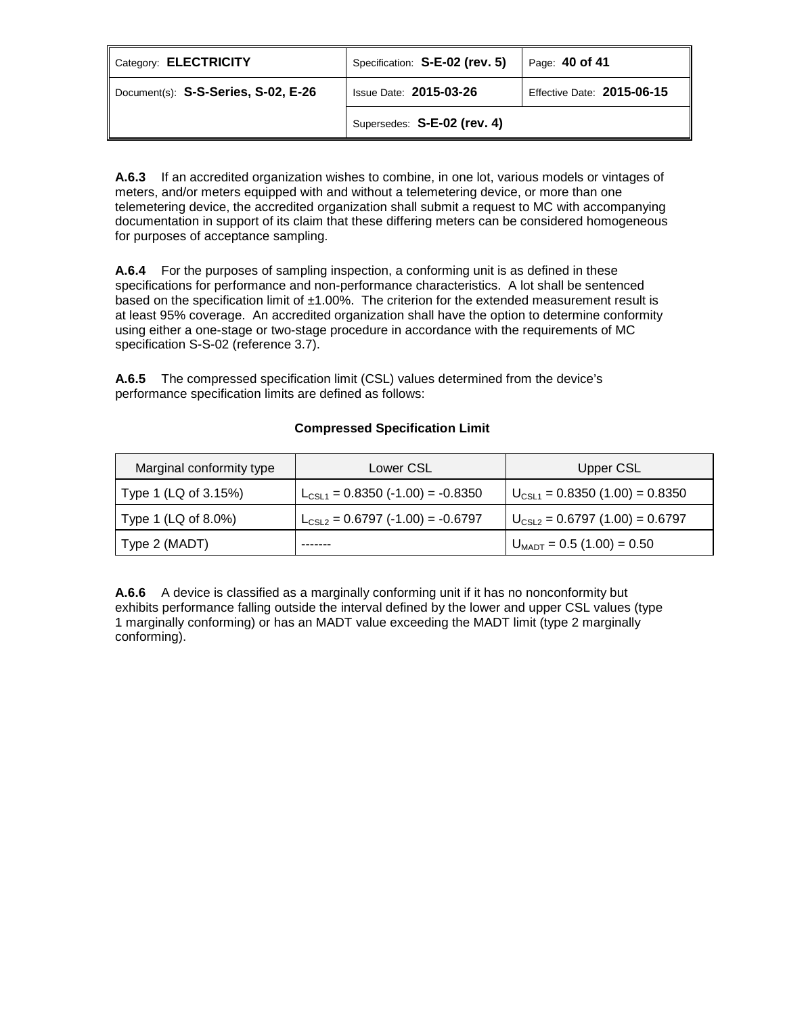| Category: ELECTRICITY               | Specification: S-E-02 (rev. 5) | Page: 40 of 41             |
|-------------------------------------|--------------------------------|----------------------------|
| Document(s): S-S-Series, S-02, E-26 | <b>Issue Date: 2015-03-26</b>  | Effective Date: 2015-06-15 |
|                                     | Supersedes: S-E-02 (rev. 4)    |                            |

**A.6.3** If an accredited organization wishes to combine, in one lot, various models or vintages of meters, and/or meters equipped with and without a telemetering device, or more than one telemetering device, the accredited organization shall submit a request to MC with accompanying documentation in support of its claim that these differing meters can be considered homogeneous for purposes of acceptance sampling.

**A.6.4** For the purposes of sampling inspection, a conforming unit is as defined in these specifications for performance and non-performance characteristics. A lot shall be sentenced based on the specification limit of  $\pm 1.00\%$ . The criterion for the extended measurement result is at least 95% coverage. An accredited organization shall have the option to determine conformity using either a one-stage or two-stage procedure in accordance with the requirements of MC specification S-S-02 (reference 3.7).

**A.6.5** The compressed specification limit (CSL) values determined from the device's performance specification limits are defined as follows:

# **Compressed Specification Limit**

| Marginal conformity type | Lower CSL                             | Upper CSL                             |
|--------------------------|---------------------------------------|---------------------------------------|
| Type 1 (LQ of 3.15%)     | $L_{CSL1}$ = 0.8350 (-1.00) = -0.8350 | $U_{CSL1} = 0.8350(1.00) = 0.8350$    |
| Type 1 (LQ of 8.0%)      | $L_{CSL2} = 0.6797$ (-1.00) = -0.6797 | $U_{CSL2} = 0.6797(1.00) = 0.6797$    |
| Type 2 (MADT)            |                                       | $U_{\text{MADT}} = 0.5 (1.00) = 0.50$ |

**A.6.6** A device is classified as a marginally conforming unit if it has no nonconformity but exhibits performance falling outside the interval defined by the lower and upper CSL values (type 1 marginally conforming) or has an MADT value exceeding the MADT limit (type 2 marginally conforming).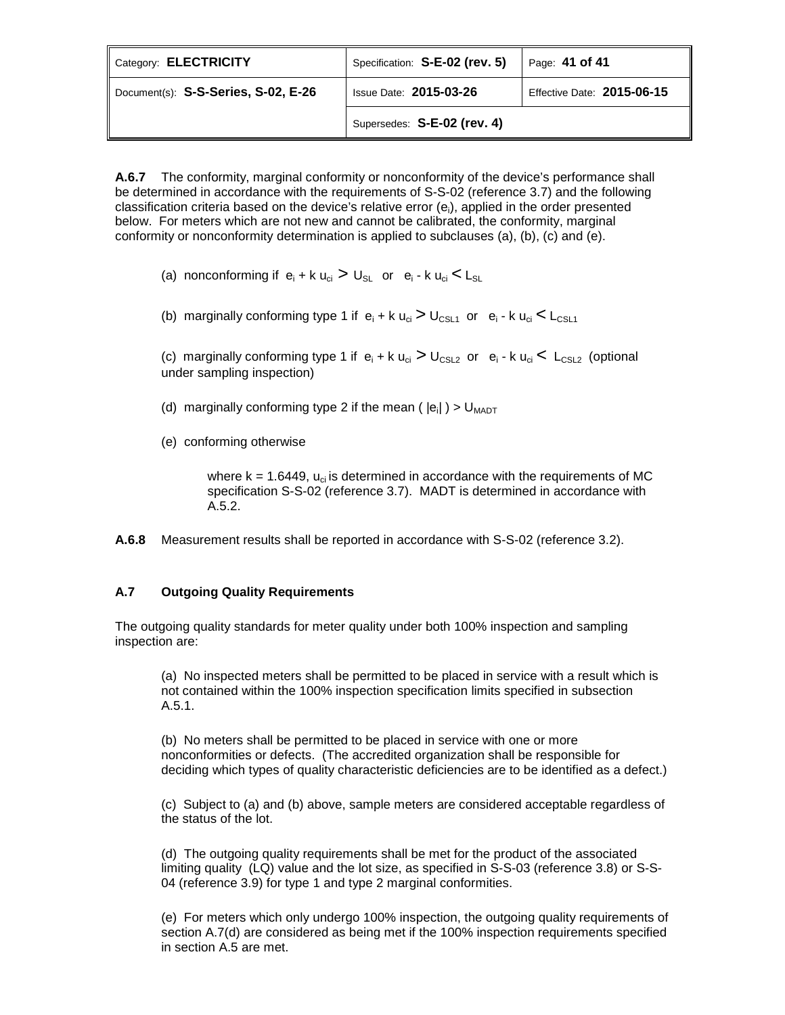| Category: ELECTRICITY               | Specification: S-E-02 (rev. 5) | Page: 41 of 41             |
|-------------------------------------|--------------------------------|----------------------------|
| Document(s): S-S-Series, S-02, E-26 | <b>Issue Date: 2015-03-26</b>  | Effective Date: 2015-06-15 |
|                                     | Supersedes: S-E-02 (rev. 4)    |                            |

**A.6.7** The conformity, marginal conformity or nonconformity of the device's performance shall be determined in accordance with the requirements of S-S-02 (reference 3.7) and the following classification criteria based on the device's relative error (e<sub>i</sub>), applied in the order presented below. For meters which are not new and cannot be calibrated, the conformity, marginal conformity or nonconformity determination is applied to subclauses (a), (b), (c) and (e).

- (a) nonconforming if  $e_i + k u_{ci} > U_{SL}$  or  $e_i k u_{ci} < L_{SL}$
- (b) marginally conforming type 1 if  $e_i + k u_{ci} > U_{CSL1}$  or  $e_i k u_{ci} < L_{CSL1}$

(c) marginally conforming type 1 if  $e_i + k u_{ci} > U_{CSL2}$  or  $e_i - k u_{ci} < L_{CSL2}$  (optional under sampling inspection)

- (d) marginally conforming type 2 if the mean ( $|e_i|$ ) >  $U_{MADT}$
- (e) conforming otherwise

where  $k = 1.6449$ ,  $u_{ci}$  is determined in accordance with the requirements of MC specification S-S-02 (reference 3.7). MADT is determined in accordance with A.5.2.

**A.6.8** Measurement results shall be reported in accordance with S-S-02 (reference 3.2).

## **A.7 Outgoing Quality Requirements**

The outgoing quality standards for meter quality under both 100% inspection and sampling inspection are:

(a) No inspected meters shall be permitted to be placed in service with a result which is not contained within the 100% inspection specification limits specified in subsection A.5.1.

(b) No meters shall be permitted to be placed in service with one or more nonconformities or defects. (The accredited organization shall be responsible for deciding which types of quality characteristic deficiencies are to be identified as a defect.)

(c) Subject to (a) and (b) above, sample meters are considered acceptable regardless of the status of the lot.

(d) The outgoing quality requirements shall be met for the product of the associated limiting quality (LQ) value and the lot size, as specified in S-S-03 (reference 3.8) or S-S-04 (reference 3.9) for type 1 and type 2 marginal conformities.

(e) For meters which only undergo 100% inspection, the outgoing quality requirements of section A.7(d) are considered as being met if the 100% inspection requirements specified in section A.5 are met.